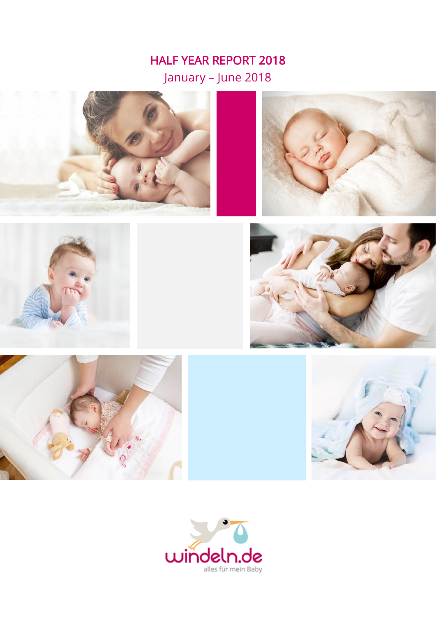# HALF YEAR REPORT 2018 January – June 2018













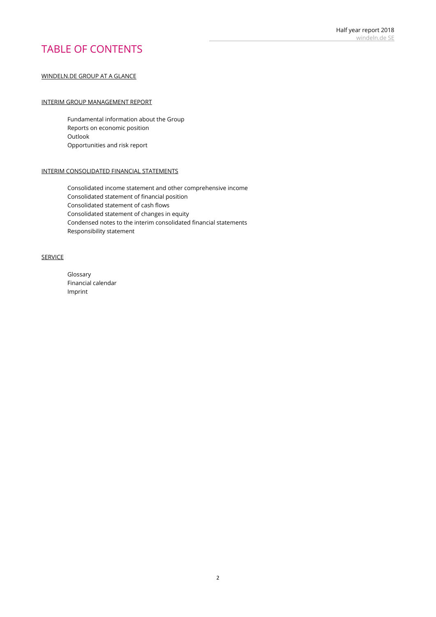## TABLE OF CONTENTS

#### WINDELN.DE GROUP AT A GLANCE

#### INTERIM GROUP MANAGEMENT REPORT

Fundamental information about the Group Reports on economic position Outlook Opportunities and risk report

#### INTERIM CONSOLIDATED FINANCIAL STATEMENTS

Consolidated income statement and other comprehensive income Consolidated statement of financial position Consolidated statement of cash flows Consolidated statement of changes in equity Condensed notes to the interim consolidated financial statements Responsibility statement

#### SERVICE

Glossary Financial calendar Imprint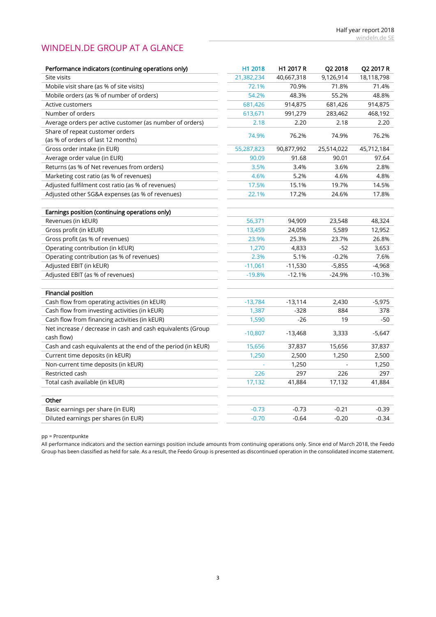## WINDELN.DE GROUP AT A GLANCE

| Performance indicators (continuing operations only)          | H1 2018    | H1 2017 R  | Q2 2018    | Q2 2017 R  |
|--------------------------------------------------------------|------------|------------|------------|------------|
| Site visits                                                  | 21,382,234 | 40,667,318 | 9,126,914  | 18,118,798 |
| Mobile visit share (as % of site visits)                     | 72.1%      | 70.9%      | 71.8%      | 71.4%      |
| Mobile orders (as % of number of orders)                     | 54.2%      | 48.3%      | 55.2%      | 48.8%      |
| Active customers                                             | 681,426    | 914,875    | 681,426    | 914,875    |
| Number of orders                                             | 613,671    | 991,279    | 283,462    | 468,192    |
| Average orders per active customer (as number of orders)     | 2.18       | 2.20       | 2.18       | 2.20       |
| Share of repeat customer orders                              | 74.9%      | 76.2%      | 74.9%      | 76.2%      |
| (as % of orders of last 12 months)                           |            |            |            |            |
| Gross order intake (in EUR)                                  | 55,287,823 | 90,877,992 | 25,514,022 | 45,712,184 |
| Average order value (in EUR)                                 | 90.09      | 91.68      | 90.01      | 97.64      |
| Returns (as % of Net revenues from orders)                   | 3.5%       | 3.4%       | 3.6%       | 2.8%       |
| Marketing cost ratio (as % of revenues)                      | 4.6%       | 5.2%       | 4.6%       | 4.8%       |
| Adjusted fulfilment cost ratio (as % of revenues)            | 17.5%      | 15.1%      | 19.7%      | 14.5%      |
| Adjusted other SG&A expenses (as % of revenues)              | 22.1%      | 17.2%      | 24.6%      | 17.8%      |
|                                                              |            |            |            |            |
| Earnings position (continuing operations only)               |            |            |            |            |
| Revenues (in kEUR)                                           | 56,371     | 94,909     | 23,548     | 48,324     |
| Gross profit (in kEUR)                                       | 13,459     | 24,058     | 5,589      | 12,952     |
| Gross profit (as % of revenues)                              | 23.9%      | 25.3%      | 23.7%      | 26.8%      |
| Operating contribution (in kEUR)                             | 1,270      | 4,833      | $-52$      | 3,653      |
| Operating contribution (as % of revenues)                    | 2.3%       | 5.1%       | $-0.2%$    | 7.6%       |
| Adjusted EBIT (in kEUR)                                      | $-11,061$  | $-11,530$  | $-5,855$   | $-4,968$   |
| Adjusted EBIT (as % of revenues)                             | $-19.8%$   | $-12.1%$   | $-24.9%$   | $-10.3%$   |
|                                                              |            |            |            |            |
| <b>Financial position</b>                                    |            |            |            |            |
| Cash flow from operating activities (in kEUR)                | $-13,784$  | $-13,114$  | 2,430      | $-5,975$   |
| Cash flow from investing activities (in kEUR)                | 1,387      | $-328$     | 884        | 378        |
| Cash flow from financing activities (in kEUR)                | 1,590      | $-26$      | 19         | $-50$      |
| Net increase / decrease in cash and cash equivalents (Group  | $-10,807$  | $-13,468$  | 3,333      | $-5,647$   |
| cash flow)                                                   |            |            |            |            |
| Cash and cash equivalents at the end of the period (in kEUR) | 15,656     | 37,837     | 15,656     | 37,837     |
| Current time deposits (in kEUR)                              | 1,250      | 2,500      | 1,250      | 2,500      |
| Non-current time deposits (in kEUR)                          |            | 1,250      |            | 1,250      |
| Restricted cash                                              | 226        | 297        | 226        | 297        |
| Total cash available (in kEUR)                               | 17,132     | 41,884     | 17,132     | 41,884     |
|                                                              |            |            |            |            |
| Other                                                        |            |            |            |            |
| Basic earnings per share (in EUR)                            | $-0.73$    | $-0.73$    | $-0.21$    | $-0.39$    |
| Diluted earnings per shares (in EUR)                         | $-0.70$    | $-0.64$    | $-0.20$    | $-0.34$    |

pp = Prozentpunkte

All performance indicators and the section earnings position include amounts from continuing operations only. Since end of March 2018, the Feedo Group has been classified as held for sale. As a result, the Feedo Group is presented as discontinued operation in the consolidated income statement.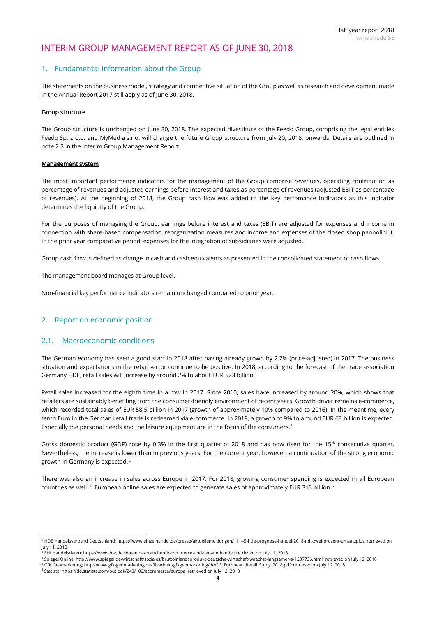## INTERIM GROUP MANAGEMENT REPORT AS OF JUNE 30, 2018

## 1. Fundamental information about the Group

The statements on the business model, strategy and competitive situation of the Group as well as research and development made in the Annual Report 2017 still apply as of June 30, 2018.

#### Group structure

The Group structure is unchanged on June 30, 2018. The expected divestiture of the Feedo Group, comprising the legal entities Feedo Sp. z o.o. and MyMedia s.r.o. will change the future Group structure from July 20, 2018, onwards. Details are outlined in note [2.3](#page-5-0) in the Interim Group Management Report.

#### Management system

The most important performance indicators for the management of the Group comprise revenues, operating contribution as percentage of revenues and adjusted earnings before interest and taxes as percentage of revenues (adjusted EBIT as percentage of revenues). At the beginning of 2018, the Group cash flow was added to the key perfomance indicators as this indicator determines the liquidity of the Group.

For the purposes of managing the Group, earnings before interest and taxes (EBIT) are adjusted for expenses and income in connection with share-based compensation, reorganization measures and income and expenses of the closed shop pannolini.it. In the prior year comparative period, expenses for the integration of subsidiaries were adjusted.

Group cash flow is defined as change in cash and cash equivalents as presented in the consolidated statement of cash flows.

The management board manages at Group level.

Non-financial key performance indicators remain unchanged compared to prior year.

#### 2. Report on economic position

#### 2.1. Macroeconomic conditions

**.** 

The German economy has seen a good start in 2018 after having already grown by 2.2% (price-adjusted) in 2017. The business situation and expectations in the retail sector continue to be positive. In 2018, according to the forecast of the trade association Germany HDE, retail sales will increase by around 2% to about EUR 523 billion.<sup>1</sup>

Retail sales increased for the eighth time in a row in 2017. Since 2010, sales have increased by around 20%, which shows that retailers are sustainably benefiting from the consumer-friendly environment of recent years. Growth driver remains e-commerce, which recorded total sales of EUR 58.5 billion in 2017 (growth of approximately 10% compared to 2016). In the meantime, every tenth Euro in the German retail trade is redeemed via e-commerce. In 2018, a growth of 9% to around EUR 63 billion is expected. Especially the personal needs and the leisure equipment are in the focus of the consumers.<sup>2</sup>

Gross domestic product (GDP) rose by 0.3% in the first quarter of 2018 and has now risen for the  $15<sup>th</sup>$  consecutive quarter. Nevertheless, the increase is lower than in previous years. For the current year, however, a continuation of the strong economic growth in Germany is expected. <sup>3</sup>

There was also an increase in sales across Europe in 2017. For 2018, growing consumer spending is expected in all European countries as well. <sup>4</sup> European online sales are expected to generate sales of approximately EUR 313 billion. 5

<sup>1</sup> HDE Handelsverband Deutschland; https://www.einzelhandel.de/presse/aktuellemeldungen/11145-hde-prognose-handel-2018-mit-zwei-prozent-umsatzplus; retrieved on July 11, 2018

 $^2$  EHI Handelsdaten; https://www.handelsdaten.de/branchen/e-commerce-und-versandhandel; retrieved on July 11, 2018

<sup>3</sup> Spiegel Online; http://www.spiegel.de/wirtschaft/soziales/bruttoinlandsprodukt-deutsche-wirtschaft-waechst-langsamer-a-1207736.html; retrieved on July 12, 2018

<sup>4</sup> GfK Geomarketing; http://www.gfk-geomarketing.de/fileadmin/gfkgeomarketing/de/DE\_European\_Retail\_Study\_2018.pdf; retrieved on July 12, 2018

<sup>5</sup> Statista; https://de.statista.com/outlook/243/102/ecommerce/europa; retrieved on July 12, 2018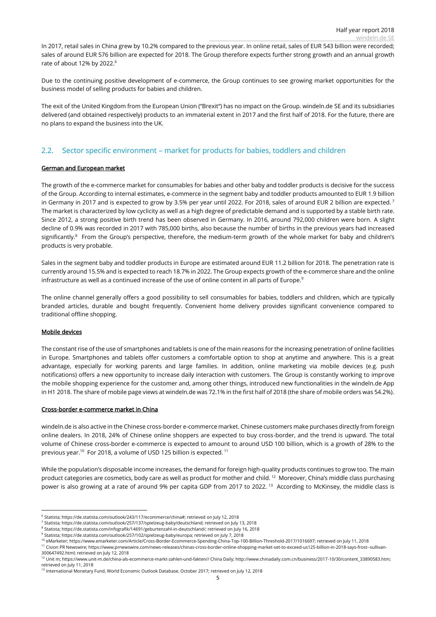In 2017, retail sales in China grew by 10.2% compared to the previous year. In online retail, sales of EUR 543 billion were recorded; sales of around EUR 576 billion are expected for 2018. The Group therefore expects further strong growth and an annual growth rate of about 12% by 2022.<sup>6</sup>

Due to the continuing positive development of e-commerce, the Group continues to see growing market opportunities for the business model of selling products for babies and children.

The exit of the United Kingdom from the European Union ("Brexit") has no impact on the Group. windeln.de SE and its subsidiaries delivered (and obtained respectively) products to an immaterial extent in 2017 and the first half of 2018. For the future, there are no plans to expand the business into the UK.

## 2.2. Sector specific environment – market for products for babies, toddlers and children

#### German and European market

The growth of the e-commerce market for consumables for babies and other baby and toddler products is decisive for the success of the Group. According to internal estimates, e-commerce in the segment baby and toddler products amounted to EUR 1.9 billion in Germany in 2017 and is expected to grow by 3.5% per year until 2022. For 2018, sales of around EUR 2 billion are expected.<sup>7</sup> The market is characterized by low cyclicity as well as a high degree of predictable demand and is supported by a stable birth rate. Since 2012, a strong positive birth trend has been observed in Germany. In 2016, around 792,000 children were born. A slight decline of 0.9% was recorded in 2017 with 785,000 births, also because the number of births in the previous years had increased significantly.<sup>8</sup> From the Group's perspective, therefore, the medium-term growth of the whole market for baby and children's products is very probable.

Sales in the segment baby and toddler products in Europe are estimated around EUR 11.2 billion for 2018. The penetration rate is currently around 15.5% and is expected to reach 18.7% in 2022. The Group expects growth of the e-commerce share and the online infrastructure as well as a continued increase of the use of online content in all parts of Europe.<sup>9</sup>

The online channel generally offers a good possibility to sell consumables for babies, toddlers and children, which are typically branded articles, durable and bought frequently. Convenient home delivery provides significant convenience compared to traditional offline shopping.

#### Mobile devices

The constant rise of the use of smartphones and tablets is one of the main reasons for the increasing penetration of online facilities in Europe. Smartphones and tablets offer customers a comfortable option to shop at anytime and anywhere. This is a great advantage, especially for working parents and large families. In addition, online marketing via mobile devices (e.g. push notifications) offers a new opportunity to increase daily interaction with customers. The Group is constantly working to improve the mobile shopping experience for the customer and, among other things, introduced new functionalities in the windeln.de App in H1 2018. The share of mobile page views at windeln.de was 72.1% in the first half of 2018 (the share of mobile orders was 54.2%).

#### Cross-border e-commerce market in China

windeln.de is also active in the Chinese cross-border e-commerce market. Chinese customers make purchases directly from foreign online dealers. In 2018, 24% of Chinese online shoppers are expected to buy cross-border, and the trend is upward. The total volume of Chinese cross-border e-commerce is expected to amount to around USD 100 billion, which is a growth of 28% to the previous year.<sup>10</sup> For 2018, a volume of USD 125 billion is expected.<sup>11</sup>

While the population's disposable income increases, the demand for foreign high-quality products continues to grow too. The main product categories are cosmetics, body care as well as product for mother and child.<sup>12</sup> Moreover, China's middle class purchasing power is also growing at a rate of around 9% per capita GDP from 2017 to 2022.<sup>13</sup> According to McKinsey, the middle class is

<sup>11</sup> Cision PR Newswire; https://www.prnewswire.com/news-releases/chinas-cross-border-online-shopping-market-set-to-exceed-us125-billion-in-2018-says-frost--sullivan-300647492.html; retrieved on July 12, 2018

 6 Statista; https://de.statista.com/outlook/243/117/ecommerce/china#; retrieved on July 12, 2018

<sup>7</sup> Statista; https://de.statista.com/outlook/257/137/spielzeug-baby/deutschland; retrieved on July 13, 2018

<sup>8</sup> Statista; https://de.statista.com/infografik/14691/geburtenzahl-in-deutschland/; retrieved on July 16, 2018

<sup>9</sup> Statista; https://de.statista.com/outlook/257/102/spielzeug-baby/europa; retrieved on July 7, 2018

<sup>&</sup>lt;sup>10</sup> eMarketer; https://www.emarketer.com/Article/Cross-Border-Ecommerce-Spending-China-Top-100-Billion-Threshold-2017/1016697; retrieved on July 11, 2018

<sup>12</sup> Unit m; https://www.unit-m.de/china-als-ecommerce-markt-zahlen-und-fakten// China Daily; http://www.chinadaily.com.cn/business/2017-10/30/content\_33890583.htm;

retrieved on July 11, 2018<br><sup>13</sup> International Monetary Fund, World Economic Outlook Database, October 2017; retrieved on July 12, 2018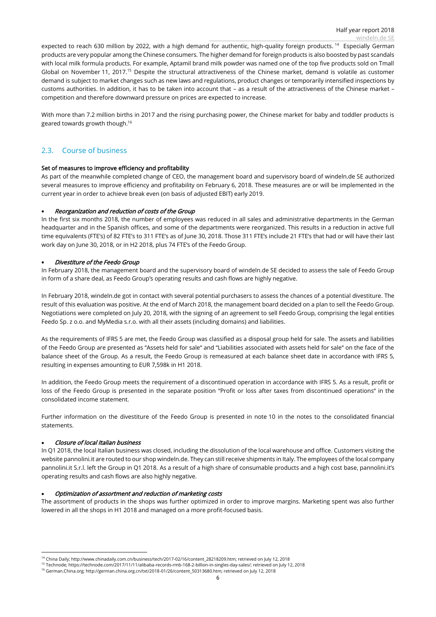expected to reach 630 million by 2022, with a high demand for authentic, high-quality foreign products. <sup>14</sup> Especially German products are very popular among the Chinese consumers. The higher demand for foreign products is also boosted by past scandals with local milk formula products. For example, Aptamil brand milk powder was named one of the top five products sold on Tmall Global on November 11, 2017.<sup>15</sup> Despite the structural attractiveness of the Chinese market, demand is volatile as customer demand is subject to market changes such as new laws and regulations, product changes or temporarily intensified inspections by customs authorities. In addition, it has to be taken into account that – as a result of the attractiveness of the Chinese market – competition and therefore downward pressure on prices are expected to increase.

With more than 7.2 million births in 2017 and the rising purchasing power, the Chinese market for baby and toddler products is geared towards growth though. 16

## <span id="page-5-0"></span>2.3. Course of business

#### Set of measures to improve efficiency and profitability

As part of the meanwhile completed change of CEO, the management board and supervisory board of windeln.de SE authorized several measures to improve efficiency and profitability on February 6, 2018. These measures are or will be implemented in the current year in order to achieve break even (on basis of adjusted EBIT) early 2019.

#### • Reorganization and reduction of costs of the Group

In the first six months 2018, the number of employees was reduced in all sales and administrative departments in the German headquarter and in the Spanish offices, and some of the departments were reorganized. This results in a reduction in active full time equivalents (FTE's) of 82 FTE's to 311 FTE's as of June 30, 2018. Those 311 FTE's include 21 FTE's that had or will have their last work day on June 30, 2018, or in H2 2018, plus 74 FTE's of the Feedo Group.

#### • Divestiture of the Feedo Group

In February 2018, the management board and the supervisory board of windeln.de SE decided to assess the sale of Feedo Group in form of a share deal, as Feedo Group's operating results and cash flows are highly negative.

In February 2018, windeln.de got in contact with several potential purchasers to assess the chances of a potential divestiture. The result of this evaluation was positive. At the end of March 2018, the management board decided on a plan to sell the Feedo Group. Negotiations were completed on July 20, 2018, with the signing of an agreement to sell Feedo Group, comprising the legal entities Feedo Sp. z o.o. and MyMedia s.r.o. with all their assets (including domains) and liabilities.

As the requirements of IFRS 5 are met, the Feedo Group was classified as a disposal group held for sale. The assets and liabilities of the Feedo Group are presented as "Assets held for sale" and "Liabilities associated with assets held for sale" on the face of the balance sheet of the Group. As a result, the Feedo Group is remeasured at each balance sheet date in accordance with IFRS 5, resulting in expenses amounting to EUR 7,598k in H1 2018.

In addition, the Feedo Group meets the requirement of a discontinued operation in accordance with IFRS 5. As a result, profit or loss of the Feedo Group is presented in the separate position "Profit or loss after taxes from discontinued operations" in the consolidated income statement.

Further information on the divestiture of the Feedo Group is presented in note [10](#page-30-0) in the notes to the consolidated financial statements.

#### • Closure of local Italian business

In Q1 2018, the local Italian business was closed, including the dissolution of the local warehouse and office. Customers visiting the website pannolini.it are routed to our shop windeln.de. They can still receive shipments in Italy. The employees of the local company pannolini.it S.r.l. left the Group in Q1 2018. As a result of a high share of consumable products and a high cost base, pannolini.it's operating results and cash flows are also highly negative.

#### • Optimization of assortment and reduction of marketing costs

The assortment of products in the shops was further optimized in order to improve margins. Marketing spent was also further lowered in all the shops in H1 2018 and managed on a more profit-focused basis.

 <sup>14</sup> China Daily; http://www.chinadaily.com.cn/business/tech/2017-02/16/content\_28218209.htm; retrieved on July 12, 2018

<sup>15</sup> Technode; https://technode.com/2017/11/11/alibaba-records-rmb-168-2-billion-in-singles-day-sales/; retrieved on July 12, 2018

<sup>16</sup> German.China.org; http://german.china.org.cn/txt/2018-01/26/content\_50313680.htm; retrieved on July 12, 2018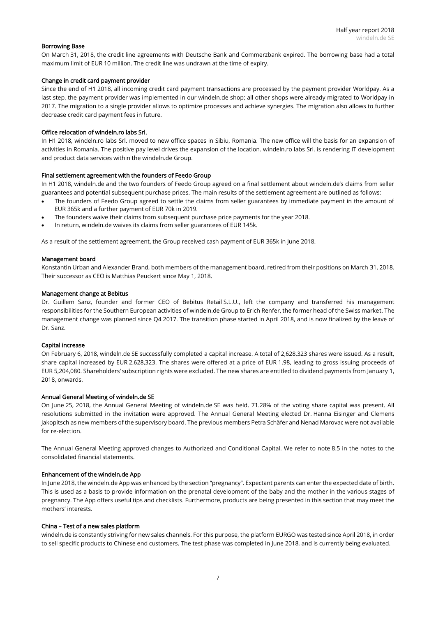#### Borrowing Base

On March 31, 2018, the credit line agreements with Deutsche Bank and Commerzbank expired. The borrowing base had a total maximum limit of EUR 10 million. The credit line was undrawn at the time of expiry.

#### Change in credit card payment provider

Since the end of H1 2018, all incoming credit card payment transactions are processed by the payment provider Worldpay. As a last step, the payment provider was implemented in our windeln.de shop; all other shops were already migrated to Worldpay in 2017. The migration to a single provider allows to optimize processes and achieve synergies. The migration also allows to further decrease credit card payment fees in future.

#### Office relocation of windeln.ro labs Srl.

In H1 2018, windeln.ro labs Srl. moved to new office spaces in Sibiu, Romania. The new office will the basis for an expansion of activities in Romania. The positive pay level drives the expansion of the location. windeln.ro labs Srl. is rendering IT development and product data services within the windeln.de Group.

#### Final settlement agreement with the founders of Feedo Group

In H1 2018, windeln.de and the two founders of Feedo Group agreed on a final settlement about windeln.de's claims from seller guarantees and potential subsequent purchase prices. The main results of the settlement agreement are outlined as follows:

- The founders of Feedo Group agreed to settle the claims from seller guarantees by immediate payment in the amount of EUR 365k and a further payment of EUR 70k in 2019.
- The founders waive their claims from subsequent purchase price payments for the year 2018.
- In return, windeln.de waives its claims from seller guarantees of EUR 145k.

As a result of the settlement agreement, the Group received cash payment of EUR 365k in June 2018.

#### Management board

Konstantin Urban and Alexander Brand, both members of the management board, retired from their positions on March 31, 2018. Their successor as CEO is Matthias Peuckert since May 1, 2018.

#### Management change at Bebitus

Dr. Guillem Sanz, founder and former CEO of Bebitus Retail S.L.U., left the company and transferred his management responsibilities for the Southern European activities of windeln.de Group to Erich Renfer, the former head of the Swiss market. The management change was planned since Q4 2017. The transition phase started in April 2018, and is now finalized by the leave of Dr. Sanz.

#### Capital increase

On February 6, 2018, windeln.de SE successfully completed a capital increase. A total of 2,628,323 shares were issued. As a result, share capital increased by EUR 2,628,323. The shares were offered at a price of EUR 1.98, leading to gross issuing proceeds of EUR 5,204,080. Shareholders' subscription rights were excluded. The new shares are entitled to dividend payments from January 1, 2018, onwards.

#### Annual General Meeting of windeln.de SE

On June 25, 2018, the Annual General Meeting of windeln.de SE was held. 71.28% of the voting share capital was present. All resolutions submitted in the invitation were approved. The Annual General Meeting elected Dr. Hanna Eisinger and Clemens Jakopitsch as new members of the supervisory board. The previous members Petra Schäfer and Nenad Marovac were not available for re-election.

The Annual General Meeting approved changes to Authorized and Conditional Capital. We refer to note [8.5](#page-28-0) in the notes to the consolidated financial statements.

#### Enhancement of the windeln.de App

In June 2018, the windeln.de App was enhanced by the section "pregnancy". Expectant parents can enter the expected date of birth. This is used as a basis to provide information on the prenatal development of the baby and the mother in the various stages of pregnancy. The App offers useful tips and checklists. Furthermore, products are being presented in this section that may meet the mothers' interests.

#### China – Test of a new sales platform

windeln.de is constantly striving for new sales channels. For this purpose, the platform EURGO was tested since April 2018, in order to sell specific products to Chinese end customers. The test phase was completed in June 2018, and is currently being evaluated.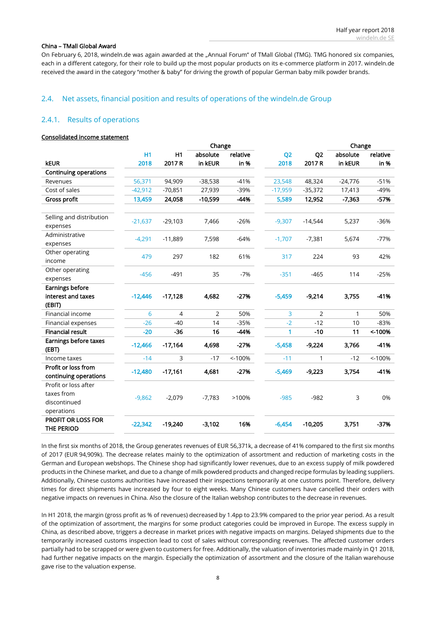#### China – TMall Global Award

On February 6, 2018, windeln.de was again awarded at the "Annual Forum" of TMall Global (TMG). TMG honored six companies, each in a different category, for their role to build up the most popular products on its e-commerce platform in 2017. windeln.de received the award in the category "mother & baby" for driving the growth of popular German baby milk powder brands.

### 2.4. Net assets, financial position and results of operations of the windeln.de Group

## <span id="page-7-0"></span>2.4.1. Results of operations

#### Consolidated income statement

|                                                                  |           |                | Change         |          |                | Change         |           |          |
|------------------------------------------------------------------|-----------|----------------|----------------|----------|----------------|----------------|-----------|----------|
|                                                                  | <b>H1</b> | H1             | absolute       | relative | Q <sub>2</sub> | Q <sub>2</sub> | absolute  | relative |
| <b>kEUR</b>                                                      | 2018      | 2017 R         | in kEUR        | in %     | 2018           | 2017R          | in kEUR   | in %     |
| <b>Continuing operations</b>                                     |           |                |                |          |                |                |           |          |
| Revenues                                                         | 56,371    | 94,909         | $-38,538$      | $-41%$   | 23,548         | 48,324         | $-24,776$ | $-51%$   |
| Cost of sales                                                    | $-42,912$ | $-70,851$      | 27,939         | -39%     | $-17,959$      | $-35,372$      | 17,413    | -49%     |
| Gross profit                                                     | 13,459    | 24,058         | $-10,599$      | $-44%$   | 5,589          | 12,952         | $-7,363$  | $-57%$   |
| Selling and distribution<br>expenses                             | $-21,637$ | $-29,103$      | 7,466          | $-26%$   | $-9,307$       | $-14,544$      | 5,237     | $-36%$   |
| Administrative<br>expenses                                       | $-4,291$  | $-11,889$      | 7,598          | $-64%$   | $-1,707$       | $-7,381$       | 5,674     | $-77%$   |
| Other operating<br>income                                        | 479       | 297            | 182            | 61%      | 317            | 224            | 93        | 42%      |
| Other operating<br>expenses                                      | $-456$    | $-491$         | 35             | $-7%$    | $-351$         | $-465$         | 114       | $-25%$   |
| <b>Earnings before</b>                                           |           |                |                |          |                |                |           |          |
| interest and taxes                                               | $-12,446$ | $-17,128$      | 4,682          | $-27%$   | $-5,459$       | $-9,214$       | 3,755     | $-41%$   |
| (EBIT)                                                           |           |                |                |          |                |                |           |          |
| Financial income                                                 | 6         | $\overline{4}$ | $\overline{2}$ | 50%      | 3              | 2              | 1         | 50%      |
| Financial expenses                                               | $-26$     | $-40$          | 14             | $-35%$   | $-2$           | $-12$          | 10        | $-83%$   |
| <b>Financial result</b>                                          | $-20$     | $-36$          | 16             | -44%     | 1              | $-10$          | 11        | < 100%   |
| Earnings before taxes<br>(EBT)                                   | $-12,466$ | $-17,164$      | 4,698          | $-27%$   | $-5,458$       | $-9,224$       | 3,766     | -41%     |
| Income taxes                                                     | $-14$     | 3              | $-17$          | < 100%   | $-11$          | $\mathbf{1}$   | $-12$     | < 100%   |
| Profit or loss from<br>continuing operations                     | $-12,480$ | $-17,161$      | 4,681          | $-27%$   | $-5,469$       | $-9,223$       | 3,754     | $-41%$   |
| Profit or loss after<br>taxes from<br>discontinued<br>operations | $-9,862$  | $-2,079$       | $-7,783$       | >100%    | $-985$         | $-982$         | 3         | 0%       |
| PROFIT OR LOSS FOR<br><b>THE PERIOD</b>                          | $-22,342$ | $-19,240$      | $-3,102$       | 16%      | $-6,454$       | $-10,205$      | 3,751     | $-37%$   |

In the first six months of 2018, the Group generates revenues of EUR 56,371k, a decrease of 41% compared to the first six months of 2017 (EUR 94,909k). The decrease relates mainly to the optimization of assortment and reduction of marketing costs in the German and European webshops. The Chinese shop had significantly lower revenues, due to an excess supply of milk powdered products in the Chinese market, and due to a change of milk powdered products and changed recipe formulas by leading suppliers. Additionally, Chinese customs authorities have increased their inspections temporarily at one customs point. Therefore, delivery times for direct shipments have increased by four to eight weeks. Many Chinese customers have cancelled their orders with negative impacts on revenues in China. Also the closure of the Italian webshop contributes to the decrease in revenues.

In H1 2018, the margin (gross profit as % of revenues) decreased by 1.4pp to 23.9% compared to the prior year period. As a result of the optimization of assortment, the margins for some product categories could be improved in Europe. The excess supply in China, as described above, triggers a decrease in market prices with negative impacts on margins. Delayed shipments due to the temporarily increased customs inspection lead to cost of sales without corresponding revenues. The affected customer orders partially had to be scrapped or were given to customers for free. Additionally, the valuation of inventories made mainly in Q1 2018, had further negative impacts on the margin. Especially the optimization of assortment and the closure of the Italian warehouse gave rise to the valuation expense.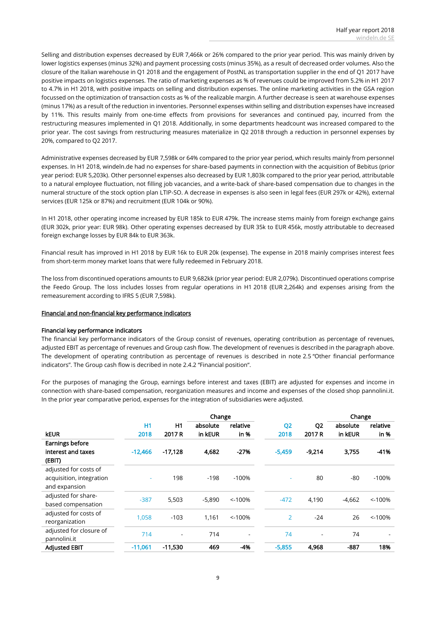Selling and distribution expenses decreased by EUR 7,466k or 26% compared to the prior year period. This was mainly driven by lower logistics expenses (minus 32%) and payment processing costs (minus 35%), as a result of decreased order volumes. Also the closure of the Italian warehouse in Q1 2018 and the engagement of PostNL as transportation supplier in the end of Q1 2017 have positive impacts on logistics expenses. The ratio of marketing expenses as % of revenues could be improved from 5.2% in H1 2017 to 4.7% in H1 2018, with positive impacts on selling and distribution expenses. The online marketing activities in the GSA region focussed on the optimization of transaction costs as % of the realizable margin. A further decrease is seen at warehouse expenses (minus 17%) as a result of the reduction in inventories. Personnel expenses within selling and distribution expenses have increased by 11%. This results mainly from one-time effects from provisions for severances and continued pay, incurred from the restructuring measures implemented in Q1 2018. Additionally, in some departments headcount was increased compared to the prior year. The cost savings from restructuring measures materialize in Q2 2018 through a reduction in personnel expenses by 20%, compared to Q2 2017.

Administrative expenses decreased by EUR 7,598k or 64% compared to the prior year period, which results mainly from personnel expenses. In H1 2018, windeln.de had no expenses for share-based payments in connection with the acquisition of Bebitus (prior year period: EUR 5,203k). Other personnel expenses also decreased by EUR 1,803k compared to the prior year period, attributable to a natural employee fluctuation, not filling job vacancies, and a write-back of share-based compensation due to changes in the numeral structure of the stock option plan LTIP-SO. A decrease in expenses is also seen in legal fees (EUR 297k or 42%), external services (EUR 125k or 87%) and recruitment (EUR 104k or 90%).

In H1 2018, other operating income increased by EUR 185k to EUR 479k. The increase stems mainly from foreign exchange gains (EUR 302k, prior year: EUR 98k). Other operating expenses decreased by EUR 35k to EUR 456k, mostly attributable to decreased foreign exchange losses by EUR 84k to EUR 363k.

Financial result has improved in H1 2018 by EUR 16k to EUR 20k (expense). The expense in 2018 mainly comprises interest fees from short-term money market loans that were fully redeemed in February 2018.

The loss from discontinued operations amounts to EUR 9,682kk (prior year period: EUR 2,079k). Discontinued operations comprise the Feedo Group. The loss includes losses from regular operations in H1 2018 (EUR 2,264k) and expenses arising from the remeasurement according to IFRS 5 (EUR 7,598k).

#### Financial and non-financial key performance indicators

#### Financial key performance indicators

The financial key performance indicators of the Group consist of revenues, operating contribution as percentage of revenues, adjusted EBIT as percentage of revenues and Group cash flow. The development of revenues is described in the paragraph above. The development of operating contribution as percentage of revenues is described in note [2.5](#page-13-0) "[Other financial performance](#page-13-0)  [indicators](#page-13-0)". The Group cash flow is decribed in note 2.4.2 "Financial position".

For the purposes of managing the Group, earnings before interest and taxes (EBIT) are adjusted for expenses and income in connection with share-based compensation, reorganization measures and income and expenses of the closed shop pannolini.it. In the prior year comparative period, expenses for the integration of subsidiaries were adjusted.

|                          |                |           | Change   |          |                |                | Change   |           |
|--------------------------|----------------|-----------|----------|----------|----------------|----------------|----------|-----------|
|                          | H <sub>1</sub> | H1        | absolute | relative | Q <sub>2</sub> | Q <sub>2</sub> | absolute | relative  |
| <b>kEUR</b>              | 2018           | 2017 R    | in kEUR  | in %     | 2018           | 2017 R         | in kEUR  | in %      |
| Earnings before          |                |           |          |          |                |                |          |           |
| interest and taxes       | $-12.466$      | $-17,128$ | 4,682    | $-27%$   | $-5,459$       | $-9,214$       | 3,755    | $-41%$    |
| (EBIT)                   |                |           |          |          |                |                |          |           |
| adjusted for costs of    |                |           |          |          |                |                |          |           |
| acquisition, integration |                | 198       | $-198$   | $-100%$  |                | 80             | -80      | $-100%$   |
| and expansion            |                |           |          |          |                |                |          |           |
| adjusted for share-      | $-387$         |           | $-5,890$ | < 100%   |                |                | $-4,662$ | $< -100%$ |
| based compensation       |                | 5,503     |          |          | $-472$         | 4,190          |          |           |
| adjusted for costs of    |                | $-103$    |          | < 100%   | $\overline{2}$ | $-24$          | 26       |           |
| reorganization           | 1,058          |           | 1,161    |          |                |                |          | < 100%    |
| adjusted for closure of  | 714            |           | 714      |          | 74             | ٠              | 74       |           |
| pannolini.it             |                |           |          |          |                |                |          |           |
| <b>Adjusted EBIT</b>     | $-11,061$      | $-11,530$ | 469      | $-4%$    | $-5,855$       | 4,968          | $-887$   | 18%       |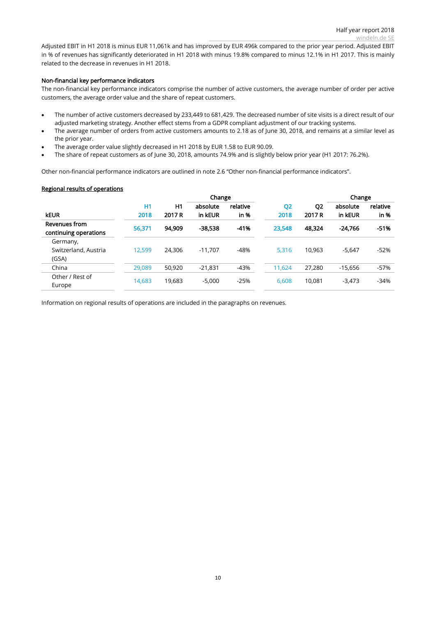Adjusted EBIT in H1 2018 is minus EUR 11,061k and has improved by EUR 496k compared to the prior year period. Adjusted EBIT in % of revenues has significantly deteriorated in H1 2018 with minus 19.8% compared to minus 12.1% in H1 2017. This is mainly related to the decrease in revenues in H1 2018.

#### Non-financial key performance indicators

The non-financial key performance indicators comprise the number of active customers, the average number of order per active customers, the average order value and the share of repeat customers.

- The number of active customers decreased by 233,449 to 681,429. The decreased number of site visits is a direct result of our adjusted marketing strategy. Another effect stems from a GDPR compliant adjustment of our tracking systems.
- The average number of orders from active customers amounts to 2.18 as of June 30, 2018, and remains at a similar level as the prior year.
- The average order value slightly decreased in H1 2018 by EUR 1.58 to EUR 90.09.
- The share of repeat customers as of June 30, 2018, amounts 74.9% and is slightly below prior year (H1 2017: 76.2%).

Other non-financial performance indicators are outlined in note [2.6](#page-15-0) "[Other non-financial performance indicators](#page-15-0)".

#### Regional results of operations

|                                        |        |        | Change    |          |                |                | Change    |          |
|----------------------------------------|--------|--------|-----------|----------|----------------|----------------|-----------|----------|
|                                        | H1     | H1     | absolute  | relative | Q <sub>2</sub> | Q <sub>2</sub> | absolute  | relative |
| <b>kEUR</b>                            | 2018   | 2017 R | in kEUR   | in %     | 2018           | 2017 R         | in kEUR   | $in %$   |
| Revenues from<br>continuing operations | 56,371 | 94.909 | $-38.538$ | $-41%$   | 23,548         | 48.324         | $-24.766$ | $-51%$   |
| Germany,                               |        |        |           |          |                |                |           |          |
| Switzerland, Austria<br>(GSA)          | 12,599 | 24.306 | $-11.707$ | -48%     | 5,316          | 10.963         | $-5,647$  | $-52%$   |
| China                                  | 29,089 | 50,920 | $-21.831$ | $-43%$   | 11.624         | 27.280         | $-15.656$ | $-57%$   |
| Other / Rest of<br>Europe              | 14,683 | 19,683 | $-5,000$  | $-25%$   | 6,608          | 10,081         | $-3,473$  | $-34%$   |

Information on regional results of operations are included in the paragraphs on revenues.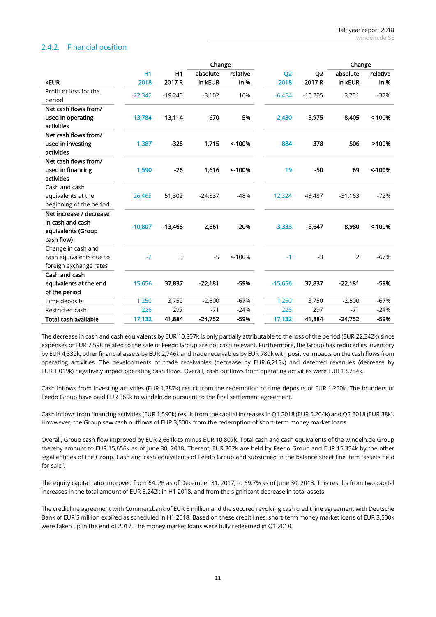## <span id="page-10-0"></span>2.4.2. Financial position

|                         |                |           | Change    |          |                |                | Change    |          |
|-------------------------|----------------|-----------|-----------|----------|----------------|----------------|-----------|----------|
|                         | H <sub>1</sub> | H1        | absolute  | relative | Q <sub>2</sub> | Q <sub>2</sub> | absolute  | relative |
| <b>kEUR</b>             | 2018           | 2017 R    | in kEUR   | in %     | 2018           | 2017 R         | in kEUR   | in %     |
| Profit or loss for the  | $-22,342$      | $-19,240$ | $-3,102$  | 16%      | $-6,454$       | $-10,205$      | 3,751     | $-37%$   |
| period                  |                |           |           |          |                |                |           |          |
| Net cash flows from/    |                |           |           |          |                |                |           |          |
| used in operating       | $-13,784$      | $-13,114$ | $-670$    | 5%       | 2,430          | $-5,975$       | 8,405     | ~100%    |
| activities              |                |           |           |          |                |                |           |          |
| Net cash flows from/    |                |           |           |          |                |                |           |          |
| used in investing       | 1,387          | $-328$    | 1,715     | < 100%   | 884            | 378            | 506       | >100%    |
| activities              |                |           |           |          |                |                |           |          |
| Net cash flows from/    |                |           |           |          |                |                |           |          |
| used in financing       | 1,590          | $-26$     | 1,616     | < 100%   | 19             | -50            | 69        | < 100%   |
| activities              |                |           |           |          |                |                |           |          |
| Cash and cash           |                |           |           |          |                |                |           |          |
| equivalents at the      | 26,465         | 51,302    | $-24,837$ | $-48%$   | 12,324         | 43,487         | $-31,163$ | $-72%$   |
| beginning of the period |                |           |           |          |                |                |           |          |
| Net increase / decrease |                |           |           |          |                |                |           |          |
| in cash and cash        | $-10,807$      | $-13,468$ | 2,661     | $-20%$   | 3,333          | $-5,647$       | 8,980     | < 100%   |
| equivalents (Group      |                |           |           |          |                |                |           |          |
| cash flow)              |                |           |           |          |                |                |           |          |
| Change in cash and      |                |           |           |          |                |                |           |          |
| cash equivalents due to | $-2$           | 3         | $-5$      | < 100%   | $-1$           | $-3$           | 2         | $-67%$   |
| foreign exchange rates  |                |           |           |          |                |                |           |          |
| Cash and cash           |                |           |           |          |                |                |           |          |
| equivalents at the end  | 15,656         | 37,837    | $-22,181$ | -59%     | $-15,656$      | 37,837         | $-22,181$ | -59%     |
| of the period           |                |           |           |          |                |                |           |          |
| Time deposits           | 1,250          | 3,750     | $-2,500$  | $-67%$   | 1,250          | 3,750          | $-2,500$  | $-67%$   |
| Restricted cash         | 226            | 297       | $-71$     | $-24%$   | 226            | 297            | $-71$     | $-24%$   |
| Total cash available    | 17,132         | 41,884    | $-24,752$ | $-59%$   | 17,132         | 41,884         | $-24,752$ | -59%     |

The decrease in cash and cash equivalents by EUR 10,807k is only partially attributable to the loss of the period (EUR 22,342k) since expenses of EUR 7,598 related to the sale of Feedo Group are not cash relevant. Furthermore, the Group has reduced its inventory by EUR 4,332k, other financial assets by EUR 2,746k and trade receivables by EUR 789k with positive impacts on the cash flows from operating activities. The developments of trade receivables (decrease by EUR 6,215k) and deferred revenues (decrease by EUR 1,019k) negatively impact operating cash flows. Overall, cash outflows from operating activities were EUR 13,784k.

Cash inflows from investing activities (EUR 1,387k) result from the redemption of time deposits of EUR 1,250k. The founders of Feedo Group have paid EUR 365k to windeln.de pursuant to the final settlement agreement.

Cash inflows from financing activities (EUR 1,590k) result from the capital increases in Q1 2018 (EUR 5,204k) and Q2 2018 (EUR 38k). Howwever, the Group saw cash outflows of EUR 3,500k from the redemption of short-term money market loans.

Overall, Group cash flow improved by EUR 2,661k to minus EUR 10,807k. Total cash and cash equivalents of the windeln.de Group thereby amount to EUR 15,656k as of June 30, 2018. Thereof, EUR 302k are held by Feedo Group and EUR 15,354k by the other legal entities of the Group. Cash and cash equivalents of Feedo Group and subsumed in the balance sheet line item "assets held for sale".

The equity capital ratio improved from 64.9% as of December 31, 2017, to 69.7% as of June 30, 2018. This results from two capital increases in the total amount of EUR 5,242k in H1 2018, and from the significant decrease in total assets.

The credit line agreement with Commerzbank of EUR 5 million and the secured revolving cash credit line agreement with Deutsche Bank of EUR 5 million expired as scheduled in H1 2018. Based on these credit lines, short-term money market loans of EUR 3,500k were taken up in the end of 2017. The money market loans were fully redeemed in Q1 2018.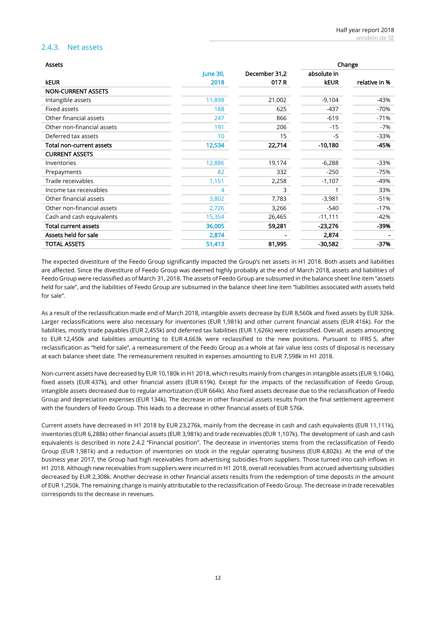## 2.4.3. Net assets

| <b>Assets</b>               |                 |               | Change      |               |  |
|-----------------------------|-----------------|---------------|-------------|---------------|--|
|                             | <b>June 30,</b> | December 31,2 | absolute in |               |  |
| <b>kEUR</b>                 | 2018            | 017 R         | <b>kEUR</b> | relative in % |  |
| <b>NON-CURRENT ASSETS</b>   |                 |               |             |               |  |
| Intangible assets           | 11,898          | 21,002        | $-9,104$    | $-43%$        |  |
| Fixed assets                | 188             | 625           | $-437$      | $-70%$        |  |
| Other financial assets      | 247             | 866           | $-619$      | $-71%$        |  |
| Other non-financial assets  | 191             | 206           | $-15$       | -7%           |  |
| Deferred tax assets         | 10              | 15            | -5          | $-33%$        |  |
| Total non-current assets    | 12,534          | 22,714        | $-10,180$   | -45%          |  |
| <b>CURRENT ASSETS</b>       |                 |               |             |               |  |
| Inventories                 | 12,886          | 19,174        | $-6,288$    | $-33%$        |  |
| Prepayments                 | 82              | 332           | $-250$      | -75%          |  |
| Trade receivables           | 1,151           | 2,258         | $-1,107$    | $-49%$        |  |
| Income tax receivables      | 4               | 3             |             | 33%           |  |
| Other financial assets      | 3,802           | 7,783         | $-3,981$    | $-51%$        |  |
| Other non-financial assets  | 2,726           | 3,266         | $-540$      | $-17%$        |  |
| Cash and cash equivalents   | 15,354          | 26,465        | $-11,111$   | $-42%$        |  |
| <b>Total current assets</b> | 36,005          | 59,281        | $-23,276$   | -39%          |  |
| Assets held for sale        | 2,874           |               | 2,874       |               |  |
| TOTAL ASSETS                | 51,413          | 81,995        | $-30,582$   | -37%          |  |

The expected divestiture of the Feedo Group significantly impacted the Group's net assets in H1 2018. Both assets and liabilities are affected. Since the divestiture of Feedo Group was deemed highly probably at the end of March 2018, assets and liabilities of Feedo Group were reclassified as of March 31, 2018. The assets of Feedo Group are subsumed in the balance sheet line item "assets held for sale", and the liabilities of Feedo Group are subsumed in the balance sheet line item "liabilities associated with assets held for sale".

As a result of the reclassification made end of March 2018, intangible assets decrease by EUR 8,560k and fixed assets by EUR 326k. Larger reclassifications were also necessary for inventories (EUR 1,981k) and other current financial assets (EUR 416k). For the liabilities, mostly trade payables (EUR 2,455k) and deferred tax liabilities (EUR 1,626k) were reclassified. Overall, assets amounting to EUR 12,450k and liabilities amounting to EUR 4,663k were reclassified to the new positions. Pursuant to IFRS 5, after reclassification as "held for sale", a remeasurement of the Feedo Group as a whole at fair value less costs of disposal is necessary at each balance sheet date. The remeasurement resulted in expenses amounting to EUR 7,598k in H1 2018.

Non-current assets have decreased by EUR 10,180k in H1 2018, which results mainly from changes in intangible assets (EUR 9,104k), fixed assets (EUR 437k), and other financial assets (EUR 619k). Except for the impacts of the reclassification of Feedo Group, intangible assets decreased due to regular amortization (EUR 664k). Also fixed assets decrease due to the reclassification of Feedo Group and depreciation expenses (EUR 134k). The decrease in other financial assets results from the final settlement agreement with the founders of Feedo Group. This leads to a decrease in other financial assets of EUR 576k.

Current assets have decreased in H1 2018 by EUR 23,276k, mainly from the decrease in cash and cash equivalents (EUR 11,111k), inventories (EUR 6,288k) other financial assets (EUR 3,981k) and trade receivables (EUR 1,107k). The development of cash and cash equivalents is described in note [2.4.2](#page-10-0) "[Financial position](#page-10-0)". The decrease in inventories stems from the reclassification of Feedo Group (EUR 1,981k) and a reduction of inventories on stock in the regular operating business (EUR 4,802k). At the end of the business year 2017, the Group had high receivables from advertising subsidies from suppliers. Those turned into cash inflows in H1 2018. Although new receivables from suppliers were incurred in H1 2018, overall receivables from accrued advertising subsidies decreased by EUR 2,308k. Another decrease in other financial assets results from the redemption of time deposits in the amount of EUR 1,250k. The remaining change is mainly attributable to the reclassification of Feedo Group. The decrease in trade receivables corresponds to the decrease in revenues.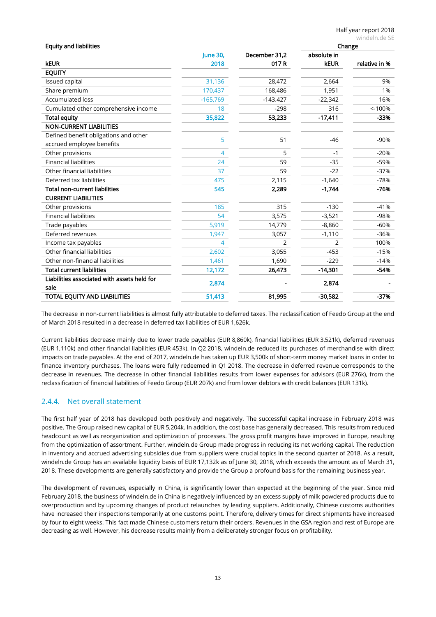| <b>Equity and liabilities</b>               |                 |                | Change         |               |  |
|---------------------------------------------|-----------------|----------------|----------------|---------------|--|
|                                             | <b>June 30,</b> | December 31,2  | absolute in    |               |  |
| <b>kEUR</b>                                 | 2018            | 017R           | <b>kEUR</b>    | relative in % |  |
| <b>EQUITY</b>                               |                 |                |                |               |  |
| Issued capital                              | 31,136          | 28,472         | 2,664          | 9%            |  |
| Share premium                               | 170,437         | 168,486        | 1,951          | 1%            |  |
| <b>Accumulated loss</b>                     | $-165,769$      | $-143.427$     | $-22,342$      | 16%           |  |
| Cumulated other comprehensive income        | 18              | $-298$         | 316            | < 100%        |  |
| <b>Total equity</b>                         | 35,822          | 53,233         | $-17,411$      | $-33%$        |  |
| <b>NON-CURRENT LIABILITIES</b>              |                 |                |                |               |  |
| Defined benefit obligations and other       | 5               | 51             | $-46$          | $-90%$        |  |
| accrued employee benefits                   |                 |                |                |               |  |
| Other provisions                            | 4               | 5              | $-1$           | $-20%$        |  |
| <b>Financial liabilities</b>                | 24              | 59             | $-35$          | $-59%$        |  |
| Other financial liabilities                 | 37              | 59             | $-22$          | $-37%$        |  |
| Deferred tax liabilities                    | 475             | 2,115          | $-1,640$       | $-78%$        |  |
| Total non-current liabilities               | 545             | 2,289          | $-1,744$       | $-76%$        |  |
| <b>CURRENT LIABILITIES</b>                  |                 |                |                |               |  |
| Other provisions                            | 185             | 315            | $-130$         | $-41%$        |  |
| <b>Financial liabilities</b>                | 54              | 3,575          | $-3,521$       | $-98%$        |  |
| Trade payables                              | 5,919           | 14,779         | $-8,860$       | $-60%$        |  |
| Deferred revenues                           | 1,947           | 3,057          | $-1,110$       | $-36%$        |  |
| Income tax payables                         | 4               | $\overline{2}$ | $\overline{2}$ | 100%          |  |
| Other financial liabilities                 | 2,602           | 3,055          | $-453$         | $-15%$        |  |
| Other non-financial liabilities             | 1,461           | 1,690          | $-229$         | $-14%$        |  |
| <b>Total current liabilities</b>            | 12,172          | 26,473         | $-14,301$      | $-54%$        |  |
| Liabilities associated with assets held for | 2,874           |                | 2,874          |               |  |
| sale                                        |                 |                |                |               |  |
| TOTAL EQUITY AND LIABILITIES                | 51,413          | 81,995         | $-30,582$      | $-37%$        |  |

The decrease in non-current liabilities is almost fully attributable to deferred taxes. The reclassification of Feedo Group at the end of March 2018 resulted in a decrease in deferred tax liabilities of EUR 1,626k.

Current liabilities decrease mainly due to lower trade payables (EUR 8,860k), financial liabilities (EUR 3,521k), deferred revenues (EUR 1,110k) and other financial liabilities (EUR 453k). In Q2 2018, windeln.de reduced its purchases of merchandise with direct impacts on trade payables. At the end of 2017, windeln.de has taken up EUR 3,500k of short-term money market loans in order to finance inventory purchases. The loans were fully redeemed in Q1 2018. The decrease in deferred revenue corresponds to the decrease in revenues. The decrease in other financial liabilities results from lower expenses for advisors (EUR 276k), from the reclassification of financial liabilities of Feedo Group (EUR 207k) and from lower debtors with credit balances (EUR 131k).

## <span id="page-12-0"></span>2.4.4. Net overall statement

The first half year of 2018 has developed both positively and negatively. The successful capital increase in February 2018 was positive. The Group raised new capital of EUR 5,204k. In addition, the cost base has generally decreased. This results from reduced headcount as well as reorganization and optimization of processes. The gross profit margins have improved in Europe, resulting from the optimization of assortment. Further, windeln.de Group made progress in reducing its net working capital. The reduction in inventory and accrued advertising subsidies due from suppliers were crucial topics in the second quarter of 2018. As a result, windeln.de Group has an available liquidity basis of EUR 17,132k as of June 30, 2018, which exceeds the amount as of March 31, 2018. These developments are generally satisfactory and provide the Group a profound basis for the remaining business year.

The development of revenues, especially in China, is significantly lower than expected at the beginning of the year. Since mid February 2018, the business of windeln.de in China is negatively influenced by an excess supply of milk powdered products due to overproduction and by upcoming changes of product relaunches by leading suppliers. Additionally, Chinese customs authorities have increased their inspections temporarily at one customs point. Therefore, delivery times for direct shipments have increased by four to eight weeks. This fact made Chinese customers return their orders. Revenues in the GSA region and rest of Europe are decreasing as well. However, his decrease results mainly from a deliberately stronger focus on profitability.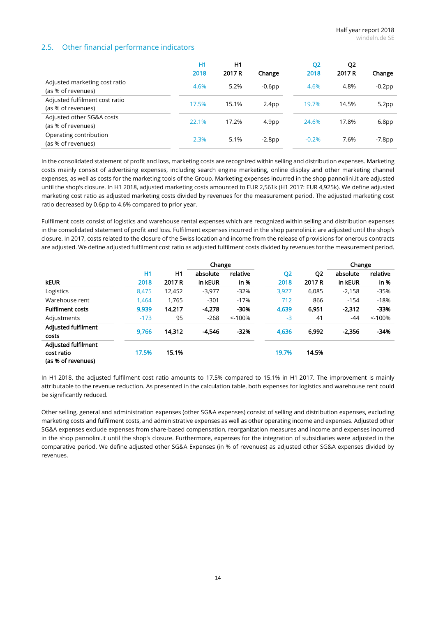## <span id="page-13-0"></span>2.5. Other financial performance indicators

|                                                      | H1<br>2018 | H1<br>2017 R | Change            | Q <sub>2</sub><br>2018 | Q <sub>2</sub><br>2017 R | Change            |
|------------------------------------------------------|------------|--------------|-------------------|------------------------|--------------------------|-------------------|
| Adjusted marketing cost ratio<br>(as % of revenues)  | 4.6%       | 5.2%         | $-0.6$ pp         | 4.6%                   | 4.8%                     | $-0.2$ pp         |
| Adjusted fulfilment cost ratio<br>(as % of revenues) | 17.5%      | 15.1%        | 2.4 <sub>pp</sub> | 19.7%                  | 14.5%                    | 5.2 <sub>pp</sub> |
| Adjusted other SG&A costs<br>(as % of revenues)      | 22.1%      | 17.2%        | 4.9 <sub>pp</sub> | 24.6%                  | 17.8%                    | 6.8 <sub>pp</sub> |
| Operating contribution<br>(as % of revenues)         | 2.3%       | 5.1%         | $-2.8$ pp         | $-0.2%$                | 7.6%                     | $-7.8$ pp         |

In the consolidated statement of profit and loss, marketing costs are recognized within selling and distribution expenses. Marketing costs mainly consist of advertising expenses, including search engine marketing, online display and other marketing channel expenses, as well as costs for the marketing tools of the Group. Marketing expenses incurred in the shop pannolini.it are adjusted until the shop's closure. In H1 2018, adjusted marketing costs amounted to EUR 2,561k (H1 2017: EUR 4,925k). We define adjusted marketing cost ratio as adjusted marketing costs divided by revenues for the measurement period. The adjusted marketing cost ratio decreased by 0.6pp to 4.6% compared to prior year.

Fulfilment costs consist of logistics and warehouse rental expenses which are recognized within selling and distribution expenses in the consolidated statement of profit and loss. Fulfilment expenses incurred in the shop pannolini.it are adjusted until the shop's closure. In 2017, costs related to the closure of the Swiss location and income from the release of provisions for onerous contracts are adjusted. We define adjusted fulfilment cost ratio as adjusted fulfilment costs divided by revenues for the measurement period.

|                                                                |        |        | Change   |           |                |                | Change   |           |
|----------------------------------------------------------------|--------|--------|----------|-----------|----------------|----------------|----------|-----------|
|                                                                | H1     | H1     | absolute | relative  | Q <sub>2</sub> | Q <sub>2</sub> | absolute | relative  |
| <b>keur</b>                                                    | 2018   | 2017 R | in kEUR  | $in %$    | 2018           | 2017 R         | in kEUR  | $in %$    |
| Logistics                                                      | 8,475  | 12,452 | $-3,977$ | $-32%$    | 3,927          | 6,085          | $-2,158$ | $-35%$    |
| Warehouse rent                                                 | 1.464  | 1,765  | $-301$   | $-17%$    | 712            | 866            | $-154$   | $-18%$    |
| <b>Fulfilment costs</b>                                        | 9,939  | 14,217 | $-4.278$ | -30%      | 4,639          | 6,951          | $-2.312$ | $-33%$    |
| Adjustments                                                    | $-173$ | 95     | $-268$   | $< -100%$ | $-3$           | 41             | $-44$    | $< -100%$ |
| <b>Adjusted fulfilment</b><br>costs                            | 9,766  | 14,312 | $-4.546$ | $-32%$    | 4,636          | 6,992          | $-2,356$ | -34%      |
| <b>Adjusted fulfilment</b><br>cost ratio<br>(as % of revenues) | 17.5%  | 15.1%  |          |           | 19.7%          | 14.5%          |          |           |

In H1 2018, the adjusted fulfilment cost ratio amounts to 17.5% compared to 15.1% in H1 2017. The improvement is mainly attributable to the revenue reduction. As presented in the calculation table, both expenses for logistics and warehouse rent could be significantly reduced.

Other selling, general and administration expenses (other SG&A expenses) consist of selling and distribution expenses, excluding marketing costs and fulfilment costs, and administrative expenses as well as other operating income and expenses. Adjusted other SG&A expenses exclude expenses from share-based compensation, reorganization measures and income and expenses incurred in the shop pannolini.it until the shop's closure. Furthermore, expenses for the integration of subsidiaries were adjusted in the comparative period. We define adjusted other SG&A Expenses (in % of revenues) as adjusted other SG&A expenses divided by revenues.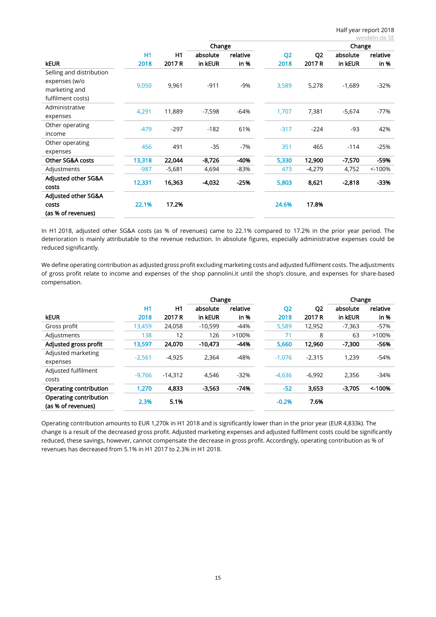|                          |           |          |          |          |                |                |          | windeln.de SE |
|--------------------------|-----------|----------|----------|----------|----------------|----------------|----------|---------------|
|                          |           |          | Change   |          |                |                | Change   |               |
|                          | <b>H1</b> | H1       | absolute | relative | Q <sub>2</sub> | Q <sub>2</sub> | absolute | relative      |
| <b>kEUR</b>              | 2018      | 2017 R   | in kEUR  | in %     | 2018           | 2017 R         | in kEUR  | in %          |
| Selling and distribution |           |          |          |          |                |                |          |               |
| expenses (w/o            | 9,050     | 9,961    | $-911$   | -9%      | 3,589          | 5,278          | $-1,689$ | $-32%$        |
| marketing and            |           |          |          |          |                |                |          |               |
| fulfilment costs)        |           |          |          |          |                |                |          |               |
| Administrative           | 4,291     | 11,889   | $-7,598$ | $-64%$   | 1,707          | 7,381          | $-5,674$ | $-77%$        |
| expenses                 |           |          |          |          |                |                |          |               |
| Other operating          |           | $-297$   | $-182$   | 61%      | $-317$         | $-224$         | $-93$    | 42%           |
| income                   | $-479$    |          |          |          |                |                |          |               |
| Other operating          | 456       | 491      | $-35$    | $-7%$    | 351            | 465            | $-114$   | $-25%$        |
| expenses                 |           |          |          |          |                |                |          |               |
| Other SG&A costs         | 13,318    | 22,044   | $-8,726$ | -40%     | 5,330          | 12,900         | $-7,570$ | -59%          |
| Adjustments              | $-987$    | $-5,681$ | 4,694    | $-83%$   | 473            | $-4,279$       | 4,752    | $< -100%$     |
| Adjusted other SG&A      |           | 16,363   | $-4,032$ | $-25%$   | 5,803          | 8,621          |          | -33%          |
| costs                    | 12,331    |          |          |          |                |                | $-2,818$ |               |
| Adjusted other SG&A      |           |          |          |          |                |                |          |               |
| costs                    | 22.1%     | 17.2%    |          |          | 24.6%          | 17.8%          |          |               |
| (as % of revenues)       |           |          |          |          |                |                |          |               |

In H1 2018, adjusted other SG&A costs (as % of revenues) came to 22.1% compared to 17.2% in the prior year period. The deterioration is mainly attributable to the revenue reduction. In absolute figures, especially administrative expenses could be reduced significantly.

We define operating contribution as adjusted gross profit excluding marketing costs and adjusted fulfilment costs. The adjustments of gross profit relate to income and expenses of the shop pannolini.it until the shop's closure, and expenses for share-based compensation.

|                                              |          |           | Change    |          |                |                | Change   |          |
|----------------------------------------------|----------|-----------|-----------|----------|----------------|----------------|----------|----------|
|                                              | H1       | H1        | absolute  | relative | Q <sub>2</sub> | Q <sub>2</sub> | absolute | relative |
| <b>keur</b>                                  | 2018     | 2017 R    | in kEUR   | in %     | 2018           | 2017 R         | in kEUR  | in %     |
| Gross profit                                 | 13,459   | 24,058    | $-10,599$ | $-44%$   | 5,589          | 12,952         | $-7,363$ | $-57%$   |
| Adjustments                                  | 138      | 12        | 126       | >100%    | 71             | 8              | 63       | >100%    |
| Adjusted gross profit                        | 13,597   | 24.070    | $-10.473$ | $-44%$   | 5,660          | 12,960         | $-7,300$ | -56%     |
| Adjusted marketing<br>expenses               | $-2.561$ | $-4,925$  | 2,364     | $-48%$   | $-1,076$       | $-2,315$       | 1,239    | $-54%$   |
| Adjusted fulfilment<br>costs                 | $-9.766$ | $-14.312$ | 4.546     | $-32%$   | $-4,636$       | $-6.992$       | 2,356    | $-34%$   |
| Operating contribution                       | 1,270    | 4,833     | $-3,563$  | $-74%$   | $-52$          | 3,653          | $-3.705$ | < 100%   |
| Operating contribution<br>(as % of revenues) | 2.3%     | 5.1%      |           |          | $-0.2%$        | 7.6%           |          |          |

Operating contribution amounts to EUR 1,270k in H1 2018 and is significantly lower than in the prior year (EUR 4,833k). The change is a result of the decreased gross profit. Adjusted marketing expenses and adjusted fulfilment costs could be significantly reduced, these savings, however, cannot compensate the decrease in gross profit. Accordingly, operating contribution as % of revenues has decreased from 5.1% in H1 2017 to 2.3% in H1 2018.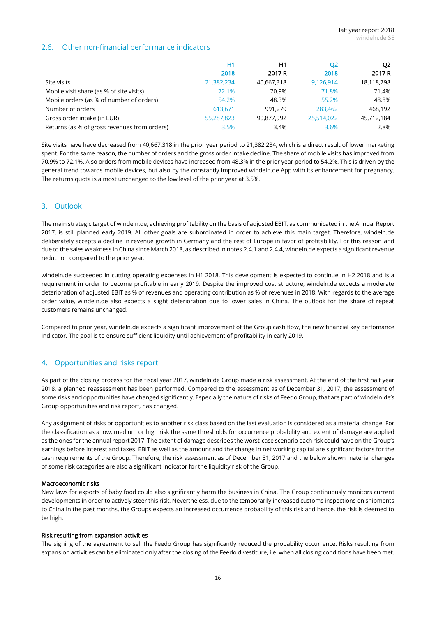## <span id="page-15-0"></span>2.6. Other non-financial performance indicators

|                                              | Η1<br>2018 | H1<br>2017 R | Q2<br>2018 | O <sub>2</sub><br>2017 R |
|----------------------------------------------|------------|--------------|------------|--------------------------|
| Site visits                                  | 21,382,234 | 40,667,318   | 9,126,914  | 18,118,798               |
| Mobile visit share (as % of site visits)     | 72.1%      | 70.9%        | 71.8%      | 71.4%                    |
| Mobile orders (as % of number of orders)     | 54.2%      | 48.3%        | 55.2%      | 48.8%                    |
| Number of orders                             | 613,671    | 991,279      | 283,462    | 468,192                  |
| Gross order intake (in EUR)                  | 55,287,823 | 90,877,992   | 25,514,022 | 45,712,184               |
| Returns (as % of gross revenues from orders) | 3.5%       | 3.4%         | 3.6%       | 2.8%                     |

Site visits have have decreased from 40,667,318 in the prior year period to 21,382,234, which is a direct result of lower marketing spent. For the same reason, the number of orders and the gross order intake decline. The share of mobile visits has improved from 70.9% to 72.1%. Also orders from mobile devices have increased from 48.3% in the prior year period to 54.2%. This is driven by the general trend towards mobile devices, but also by the constantly improved windeln.de App with its enhancement for pregnancy. The returns quota is almost unchanged to the low level of the prior year at 3.5%.

## 3. Outlook

The main strategic target of windeln.de, achieving profitability on the basis of adjusted EBIT, as communicated in the Annual Report 2017, is still planned early 2019. All other goals are subordinated in order to achieve this main target. Therefore, windeln.de deliberately accepts a decline in revenue growth in Germany and the rest of Europe in favor of profitability. For this reason and due to the sales weakness in China since March 2018, as described in notes [2.4.1](#page-7-0) an[d 2.4.4,](#page-12-0) windeln.de expects a significant revenue reduction compared to the prior year.

windeln.de succeeded in cutting operating expenses in H1 2018. This development is expected to continue in H2 2018 and is a requirement in order to become profitable in early 2019. Despite the improved cost structure, windeln.de expects a moderate deterioration of adjusted EBIT as % of revenues and operating contribution as % of revenues in 2018. With regards to the average order value, windeln.de also expects a slight deterioration due to lower sales in China. The outlook for the share of repeat customers remains unchanged.

Compared to prior year, windeln.de expects a significant improvement of the Group cash flow, the new financial key perfomance indicator. The goal is to ensure sufficient liquidity until achievement of profitability in early 2019.

## 4. Opportunities and risks report

As part of the closing process for the fiscal year 2017, windeln.de Group made a risk assessment. At the end of the first half year 2018, a planned reassessment has been performed. Compared to the assessment as of December 31, 2017, the assessment of some risks and opportunities have changed significantly. Especially the nature of risks of Feedo Group, that are part of windeln.de's Group opportunities and risk report, has changed.

Any assignment of risks or opportunities to another risk class based on the last evaluation is considered as a material change. For the classification as a low, medium or high risk the same thresholds for occurrence probability and extent of damage are applied as the ones for the annual report 2017. The extent of damage describes the worst-case scenario each risk could have on the Group's earnings before interest and taxes. EBIT as well as the amount and the change in net working capital are significant factors for the cash requirements of the Group. Therefore, the risk assessment as of December 31, 2017 and the below shown material changes of some risk categories are also a significant indicator for the liquidity risk of the Group.

#### Macroeconomic risks

New laws for exports of baby food could also significantly harm the business in China. The Group continuously monitors current developments in order to actively steer this risk. Nevertheless, due to the temporarily increased customs inspections on shipments to China in the past months, the Groups expects an increased occurrence probability of this risk and hence, the risk is deemed to be high.

#### Risk resulting from expansion activities

The signing of the agreement to sell the Feedo Group has significantly reduced the probability occurrence. Risks resulting from expansion activities can be eliminated only after the closing of the Feedo divestiture, i.e. when all closing conditions have been met.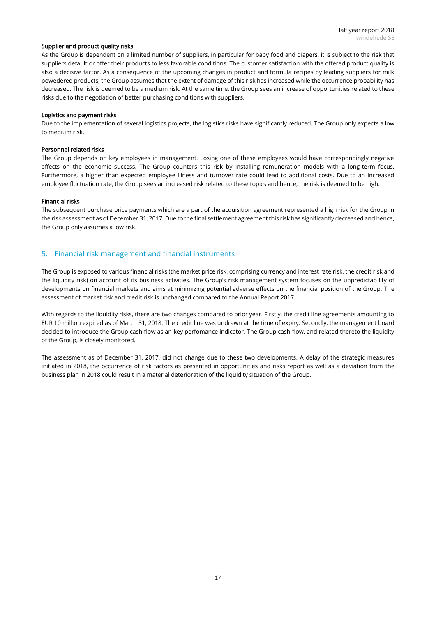#### Supplier and product quality risks

As the Group is dependent on a limited number of suppliers, in particular for baby food and diapers, it is subject to the risk that suppliers default or offer their products to less favorable conditions. The customer satisfaction with the offered product quality is also a decisive factor. As a consequence of the upcoming changes in product and formula recipes by leading suppliers for milk powedered products, the Group assumes that the extent of damage of this risk has increased while the occurrence probability has decreased. The risk is deemed to be a medium risk. At the same time, the Group sees an increase of opportunities related to these risks due to the negotiation of better purchasing conditions with suppliers.

#### Logistics and payment risks

Due to the implementation of several logistics projects, the logistics risks have significantly reduced. The Group only expects a low to medium risk.

#### Personnel related risks

The Group depends on key employees in management. Losing one of these employees would have correspondingly negative effects on the economic success. The Group counters this risk by installing remuneration models with a long-term focus. Furthermore, a higher than expected employee illness and turnover rate could lead to additional costs. Due to an increased employee fluctuation rate, the Group sees an increased risk related to these topics and hence, the risk is deemed to be high.

#### Financial risks

The subsequent purchase price payments which are a part of the acquisition agreement represented a high risk for the Group in the risk assessment as of December 31, 2017. Due to the final settlement agreement this risk has significantly decreased and hence, the Group only assumes a low risk.

## 5. Financial risk management and financial instruments

The Group is exposed to various financial risks (the market price risk, comprising currency and interest rate risk, the credit risk and the liquidity risk) on account of its business activities. The Group's risk management system focuses on the unpredictability of developments on financial markets and aims at minimizing potential adverse effects on the financial position of the Group. The assessment of market risk and credit risk is unchanged compared to the Annual Report 2017.

With regards to the liquidity risks, there are two changes compared to prior year. Firstly, the credit line agreements amounting to EUR 10 million expired as of March 31, 2018. The credit line was undrawn at the time of expiry. Secondly, the management board decided to introduce the Group cash flow as an key perfomance indicator. The Group cash flow, and related thereto the liquidity of the Group, is closely monitored.

The assessment as of December 31, 2017, did not change due to these two developments. A delay of the strategic measures initiated in 2018, the occurrence of risk factors as presented in opportunities and risks report as well as a deviation from the business plan in 2018 could result in a material deterioration of the liquidity situation of the Group.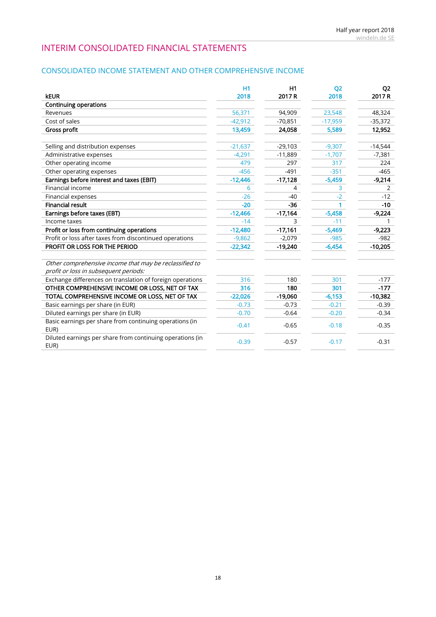## INTERIM CONSOLIDATED FINANCIAL STATEMENTS

## CONSOLIDATED INCOME STATEMENT AND OTHER COMPREHENSIVE INCOME

|                                                                   | H1        | H1        | <b>Q2</b> | Q <sub>2</sub> |
|-------------------------------------------------------------------|-----------|-----------|-----------|----------------|
| <b>kEUR</b>                                                       | 2018      | 2017 R    | 2018      | 2017 R         |
| <b>Continuing operations</b>                                      |           |           |           |                |
| Revenues                                                          | 56,371    | 94,909    | 23,548    | 48,324         |
| Cost of sales                                                     | $-42,912$ | $-70,851$ | $-17,959$ | $-35,372$      |
| Gross profit                                                      | 13,459    | 24,058    | 5,589     | 12,952         |
|                                                                   |           |           |           |                |
| Selling and distribution expenses                                 | $-21,637$ | $-29,103$ | $-9,307$  | $-14,544$      |
| Administrative expenses                                           | $-4.291$  | $-11,889$ | $-1,707$  | $-7,381$       |
| Other operating income                                            | 479       | 297       | 317       | 224            |
| Other operating expenses                                          | $-456$    | $-491$    | $-351$    | $-465$         |
| Earnings before interest and taxes (EBIT)                         | $-12,446$ | $-17,128$ | $-5,459$  | $-9,214$       |
| Financial income                                                  | 6         | 4         | 3         | 2              |
| Financial expenses                                                | $-26$     | $-40$     | $-2$      | $-12$          |
| <b>Financial result</b>                                           | $-20$     | $-36$     |           | $-10$          |
| Earnings before taxes (EBT)                                       | $-12,466$ | $-17,164$ | $-5,458$  | $-9,224$       |
| Income taxes                                                      | $-14$     | 3         | $-11$     |                |
| Profit or loss from continuing operations                         | $-12,480$ | $-17,161$ | $-5,469$  | $-9,223$       |
| Profit or loss after taxes from discontinued operations           | $-9,862$  | $-2,079$  | $-985$    | $-982$         |
| PROFIT OR LOSS FOR THE PERIOD                                     | $-22,342$ | $-19,240$ | $-6,454$  | $-10,205$      |
|                                                                   |           |           |           |                |
| Other comprehensive income that may be reclassified to            |           |           |           |                |
| profit or loss in subsequent periods:                             |           |           |           |                |
| Exchange differences on translation of foreign operations         | 316       | 180       | 301       | $-177$         |
| OTHER COMPREHENSIVE INCOME OR LOSS, NET OF TAX                    | 316       | 180       | 301       | $-177$         |
| TOTAL COMPREHENSIVE INCOME OR LOSS, NET OF TAX                    | $-22,026$ | $-19,060$ | $-6,153$  | $-10,382$      |
| Basic earnings per share (in EUR)                                 | $-0.73$   | $-0.73$   | $-0.21$   | $-0.39$        |
| Diluted earnings per share (in EUR)                               | $-0.70$   | $-0.64$   | $-0.20$   | $-0.34$        |
| Basic earnings per share from continuing operations (in           | $-0.41$   | $-0.65$   | $-0.18$   | $-0.35$        |
| EUR)                                                              |           |           |           |                |
| Diluted earnings per share from continuing operations (in<br>EUR) | $-0.39$   | $-0.57$   | $-0.17$   | $-0.31$        |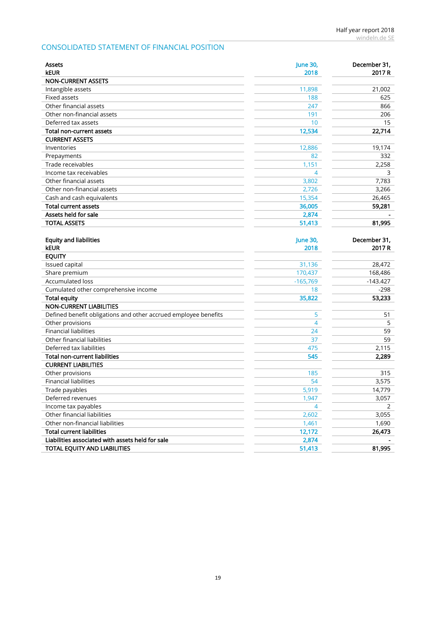## CONSOLIDATED STATEMENT OF FINANCIAL POSITION

| Assets<br><b>kEUR</b>                                           | <b>June 30,</b><br>2018 | December 31,<br>2017 R |
|-----------------------------------------------------------------|-------------------------|------------------------|
| <b>NON-CURRENT ASSETS</b>                                       |                         |                        |
| Intangible assets                                               | 11,898                  | 21,002                 |
| Fixed assets                                                    | 188                     | 625                    |
| Other financial assets                                          | 247                     | 866                    |
| Other non-financial assets                                      | 191                     | 206                    |
| Deferred tax assets                                             | 10                      | 15                     |
| <b>Total non-current assets</b>                                 | 12,534                  | 22,714                 |
| <b>CURRENT ASSETS</b>                                           |                         |                        |
| Inventories                                                     | 12,886                  | 19,174                 |
| Prepayments                                                     | 82                      | 332                    |
| Trade receivables                                               | 1,151                   | 2,258                  |
| Income tax receivables                                          | 4                       | 3                      |
| Other financial assets                                          | 3,802                   | 7,783                  |
| Other non-financial assets                                      | 2,726                   | 3,266                  |
| Cash and cash equivalents                                       | 15,354                  | 26,465                 |
| <b>Total current assets</b>                                     | 36,005                  | 59,281                 |
| Assets held for sale                                            | 2,874                   |                        |
| <b>TOTAL ASSETS</b>                                             | 51,413                  | 81,995                 |
|                                                                 |                         |                        |
| <b>Equity and liabilities</b>                                   | <b>June 30,</b>         | December 31,           |
| <b>kEUR</b>                                                     | 2018                    | 2017 R                 |
| <b>EQUITY</b>                                                   |                         |                        |
| Issued capital                                                  | 31,136                  | 28,472                 |
| Share premium                                                   | 170,437                 | 168,486                |
| <b>Accumulated loss</b>                                         | $-165,769$              | $-143.427$             |
| Cumulated other comprehensive income                            | 18                      | $-298$                 |
| <b>Total equity</b>                                             | 35,822                  | 53,233                 |
| <b>NON-CURRENT LIABILITIES</b>                                  |                         |                        |
| Defined benefit obligations and other accrued employee benefits | 5                       | 51                     |
| Other provisions                                                | 4                       | 5                      |
| <b>Financial liabilities</b>                                    | 24                      | 59                     |
| Other financial liabilities                                     | 37                      | 59                     |
| Deferred tax liabilities                                        | 475                     | 2,115                  |
| <b>Total non-current liabilities</b>                            | 545                     | 2,289                  |
| <b>CURRENT LIABILITIES</b>                                      |                         |                        |
| Other provisions                                                | 185                     | 315                    |
| <b>Financial liabilities</b>                                    | 54                      | 3,575                  |
| Trade payables                                                  | 5,919                   | 14,779                 |
| Deferred revenues                                               | 1,947                   | 3,057                  |
| Income tax payables                                             | $\overline{4}$          | $\overline{2}$         |
| Other financial liabilities                                     | 2,602                   | 3,055                  |
| Other non-financial liabilities                                 | 1,461                   | 1,690                  |
| <b>Total current liabilities</b>                                | 12,172                  | 26,473                 |
| Liabilities associated with assets held for sale                | 2,874                   |                        |
| TOTAL EQUITY AND LIABILITIES                                    | 51,413                  | 81,995                 |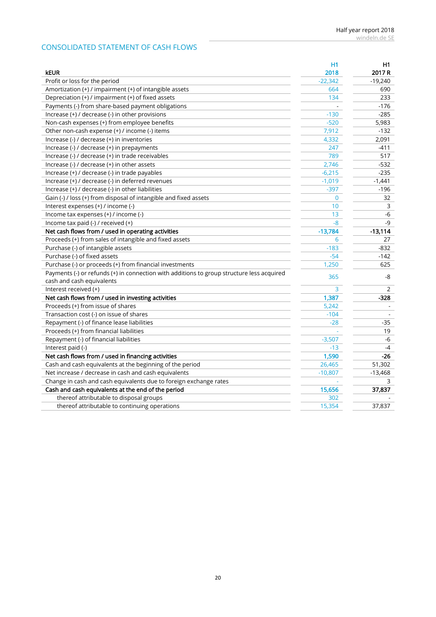## CONSOLIDATED STATEMENT OF CASH FLOWS

|                                                                                           | <b>H1</b> | H1        |
|-------------------------------------------------------------------------------------------|-----------|-----------|
| <b>kEUR</b>                                                                               | 2018      | 2017 R    |
| Profit or loss for the period                                                             | $-22,342$ | $-19,240$ |
| Amortization (+) / impairment (+) of intangible assets                                    | 664       | 690       |
| Depreciation (+) / impairment (+) of fixed assets                                         | 134       | 233       |
| Payments (-) from share-based payment obligations                                         |           | $-176$    |
| Increase (+) / decrease (-) in other provisions                                           | $-130$    | $-285$    |
| Non-cash expenses (+) from employee benefits                                              | $-520$    | 5,983     |
| Other non-cash expense (+) / income (-) items                                             | 7,912     | $-132$    |
| Increase (-) / decrease (+) in inventories                                                | 4,332     | 2,091     |
| Increase (-) / decrease (+) in prepayments                                                | 247       | $-411$    |
| Increase (-) / decrease (+) in trade receivables                                          | 789       | 517       |
| Increase (-) / decrease (+) in other assets                                               | 2,746     | $-532$    |
| Increase (+) / decrease (-) in trade payables                                             | $-6,215$  | $-235$    |
| Increase (+) / decrease (-) in deferred revenues                                          | $-1,019$  | $-1,441$  |
| Increase (+) / decrease (-) in other liabilities                                          | $-397$    | $-196$    |
| Gain (-) / loss (+) from disposal of intangible and fixed assets                          | 0         | 32        |
| Interest expenses (+) / income (-)                                                        | 10        | 3         |
| Income tax expenses (+) / income (-)                                                      | 13        | -6        |
| Income tax paid (-) / received (+)                                                        | $-8$      | $-9$      |
| Net cash flows from / used in operating activities                                        | $-13,784$ | $-13,114$ |
| Proceeds (+) from sales of intangible and fixed assets                                    | 6         | 27        |
| Purchase (-) of intangible assets                                                         | $-183$    | $-832$    |
| Purchase (-) of fixed assets                                                              | $-54$     | $-142$    |
| Purchase (-) or proceeds (+) from financial investments                                   | 1,250     | 625       |
| Payments (-) or refunds (+) in connection with additions to group structure less acquired | 365       |           |
| cash and cash equivalents                                                                 |           | -8        |
| Interest received (+)                                                                     | 3         | 2         |
| Net cash flows from / used in investing activities                                        | 1,387     | $-328$    |
| Proceeds (+) from issue of shares                                                         | 5,242     |           |
| Transaction cost (-) on issue of shares                                                   | $-104$    |           |
| Repayment (-) of finance lease liabilities                                                | $-28$     | $-35$     |
| Proceeds (+) from financial liabilities                                                   |           | 19        |
| Repayment (-) of financial liabilities                                                    | $-3,507$  | $-6$      |
| Interest paid (-)                                                                         | $-13$     | $-4$      |
| Net cash flows from / used in financing activities                                        | 1,590     | -26       |
| Cash and cash equivalents at the beginning of the period                                  | 26,465    | 51,302    |
| Net increase / decrease in cash and cash equivalents                                      | $-10,807$ | $-13,468$ |
| Change in cash and cash equivalents due to foreign exchange rates                         |           | 3         |
| Cash and cash equivalents at the end of the period                                        | 15,656    | 37,837    |
| thereof attributable to disposal groups                                                   | 302       |           |
| thereof attributable to continuing operations                                             | 15,354    | 37,837    |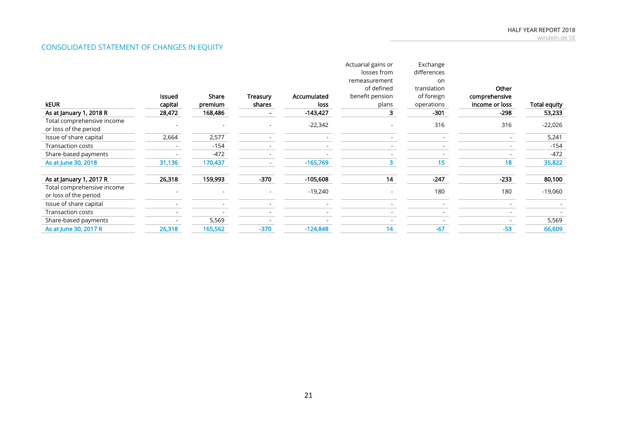## CONSOLIDATED STATEMENT OF CHANGES IN EQUITY

| <b>kEUR</b>                                         | <b>Issued</b><br>capital | Share<br>premium | Treasury<br>shares | Accumulated<br>loss | Actuarial gains or<br>losses from<br>remeasurement<br>of defined<br>benefit pension<br>plans | Exchange<br>differences<br>on<br>translation<br>of foreign<br>operations | Other<br>comprehensive<br>income or loss | Total equity |
|-----------------------------------------------------|--------------------------|------------------|--------------------|---------------------|----------------------------------------------------------------------------------------------|--------------------------------------------------------------------------|------------------------------------------|--------------|
| As at January 1, 2018 R                             | 28,472                   | 168,486          |                    | $-143,427$          |                                                                                              | $-301$                                                                   | $-298$                                   | 53,233       |
| Total comprehensive income<br>or loss of the period |                          |                  |                    | $-22,342$           |                                                                                              | 316                                                                      | 316                                      | $-22,026$    |
| Issue of share capital                              | 2,664                    | 2,577            |                    |                     |                                                                                              |                                                                          |                                          | 5,241        |
| <b>Transaction costs</b>                            |                          | $-154$           |                    |                     |                                                                                              |                                                                          |                                          | $-154$       |
| Share-based payments                                |                          | $-472$           |                    |                     |                                                                                              |                                                                          |                                          | $-472$       |
| As at June 30, 2018                                 | 31,136                   | 170,437          |                    | $-165,769$          | 3.                                                                                           | 15                                                                       | 18                                       | 35,822       |
| As at January 1, 2017 R                             | 26,318                   | 159,993          | $-370$             | $-105,608$          | 14                                                                                           | $-247$                                                                   | $-233$                                   | 80,100       |
| Total comprehensive income<br>or loss of the period |                          |                  |                    | $-19,240$           |                                                                                              | 180                                                                      | 180                                      | $-19,060$    |
| Issue of share capital                              |                          |                  |                    |                     |                                                                                              |                                                                          |                                          |              |
| <b>Transaction costs</b>                            |                          |                  |                    |                     |                                                                                              |                                                                          |                                          |              |
| Share-based payments                                |                          | 5,569            |                    |                     |                                                                                              |                                                                          |                                          | 5,569        |
| As at June 30, 2017 R                               | 26,318                   | 165,562          | $-370$             | $-124,848$          | 14                                                                                           | $-67$                                                                    | $-53$                                    | 66,609       |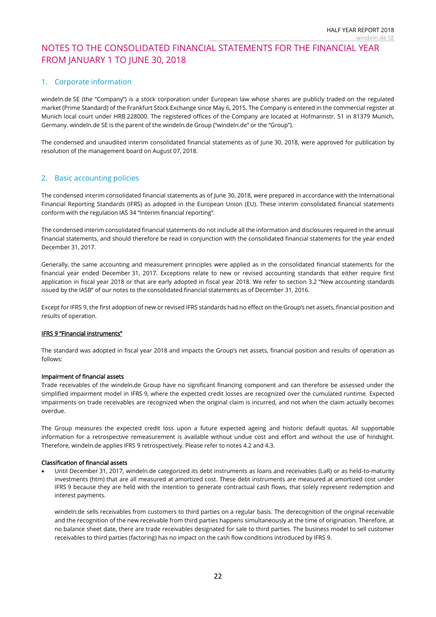## NOTES TO THE CONSOLIDATED FINANCIAL STATEMENTS FOR THE FINANCIAL YEAR FROM JANUARY 1 TO JUNE 30, 2018

## 1. Corporate information

windeln.de SE (the "Company") is a stock corporation under European law whose shares are publicly traded on the regulated market (Prime Standard) of the Frankfurt Stock Exchange since May 6, 2015. The Company is entered in the commercial register at Munich local court under HRB 228000. The registered offices of the Company are located at Hofmannstr. 51 in 81379 Munich, Germany. windeln.de SE is the parent of the windeln.de Group ("windeln.de" or the "Group").

The condensed and unaudited interim consolidated financial statements as of June 30, 2018, were approved for publication by resolution of the management board on August 07, 2018.

## <span id="page-21-0"></span>2. Basic accounting policies

The condensed interim consolidated financial statements as of June 30, 2018, were prepared in accordance with the International Financial Reporting Standards (IFRS) as adopted in the European Union (EU). These interim consolidated financial statements conform with the regulation IAS 34 "Interim financial reporting".

The condensed interim consolidated financial statements do not include all the information and disclosures required in the annual financial statements, and should therefore be read in conjunction with the consolidated financial statements for the year ended December 31, 2017.

Generally, the same accounting and measurement principles were applied as in the consolidated financial statements for the financial year ended December 31, 2017. Exceptions relate to new or revised accounting standards that either require first application in fiscal year 2018 or that are early adopted in fiscal year 2018. We refer to section 3.2 "New accounting standards issued by the IASB" of our notes to the consolidated financial statements as of December 31, 2016.

Except for IFRS 9, the first adoption of new or revised IFRS standards had no effect on the Group's net assets, financial position and results of operation.

### IFRS 9 "Financial instruments"

The standard was adopted in fiscal year 2018 and impacts the Group's net assets, financial position and results of operation as follows:

#### Impairment of financial assets

Trade receivables of the windeln.de Group have no significant financing component and can therefore be assessed under the simplified impairment model in IFRS 9, where the expected credit losses are recognized over the cumulated runtime. Expected impairments on trade receivables are recognized when the original claim is incurred, and not when the claim actually becomes overdue.

The Group measures the expected credit loss upon a future expected ageing and historic default quotas. All supportable information for a retrospective remeasurement is available without undue cost and effort and without the use of hindsight. Therefore, windeln.de applies IFRS 9 retrospectively. Please refer to notes [4.2](#page-24-0) and [4.3.](#page-24-1)

#### Classification of financial assets

• Until December 31, 2017, windeln.de categorized its debt instruments as loans and receivables (LaR) or as held-to-maturity investments (htm) that are all measured at amortized cost. These debt instruments are measured at amortized cost under IFRS 9 because they are held with the intention to generate contractual cash flows, that solely represent redemption and interest payments.

windeln.de sells receivables from customers to third parties on a regular basis. The derecognition of the original receivable and the recognition of the new receivable from third parties happens simultaneously at the time of origination. Therefore, at no balance sheet date, there are trade receivables designated for sale to third parties. The business model to sell customer receivables to third parties (factoring) has no impact on the cash flow conditions introduced by IFRS 9.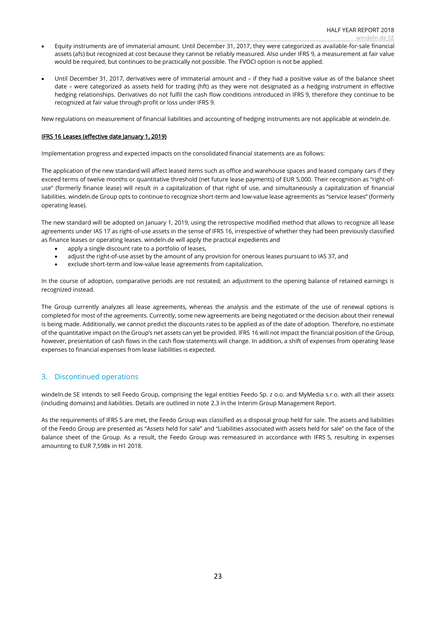- Equity instruments are of immaterial amount. Until December 31, 2017, they were categorized as available-for-sale financial assets (afs) but recognized at cost because they cannot be reliably measured. Also under IFRS 9, a measurement at fair value would be required, but continues to be practically not possible. The FVOCI option is not be applied.
- Until December 31, 2017, derivatives were of immaterial amount and if they had a positive value as of the balance sheet date – were categorized as assets held for trading (hft) as they were not designated as a hedging instrument in effective hedging relationships. Derivatives do not fulfil the cash flow conditions introduced in IFRS 9, therefore they continue to be recognized at fair value through profit or loss under IFRS 9.

New regulations on measurement of financial liabilities and accounting of hedging instruments are not applicable at windeln.de.

#### IFRS 16 Leases (effective date January 1, 2019)

Implementation progress and expected impacts on the consolidated financial statements are as follows:

The application of the new standard will affect leased items such as office and warehouse spaces and leased company cars if they exceed terms of twelve months or quantitative threshold (net future lease payments) of EUR 5,000. Their recognition as "right-ofuse" (formerly finance lease) will result in a capitalization of that right of use, and simultaneously a capitalization of financial liabilities. windeln.de Group opts to continue to recognize short-term and low-value lease agreements as "service leases" (formerly operating lease).

The new standard will be adopted on January 1, 2019, using the retrospective modified method that allows to recognize all lease agreements under IAS 17 as right-of-use assets in the sense of IFRS 16, irrespective of whether they had been previously classified as finance leases or operating leases. windeln.de will apply the practical expedients and

- apply a single discount rate to a portfolio of leases,
- adjust the right-of-use asset by the amount of any provision for onerous leases pursuant to IAS 37, and
- exclude short-term and low-value lease agreements from capitalization.

In the course of adoption, comparative periods are not restated; an adjustment to the opening balance of retained earnings is recognized instead.

The Group currently analyzes all lease agreements, whereas the analysis and the estimate of the use of renewal options is completed for most of the agreements. Currently, some new agreements are being negotiated or the decision about their renewal is being made. Additionally, we cannot predict the discounts rates to be applied as of the date of adoption. Therefore, no estimate of the quantitative impact on the Group's net assets can yet be provided. IFRS 16 will not impact the financial position of the Group, however, presentation of cash flows in the cash flow statements will change. In addition, a shift of expenses from operating lease expenses to financial expenses from lease liabilities is expected.

## 3. Discontinued operations

windeln.de SE intends to sell Feedo Group, comprising the legal entities Feedo Sp. z o.o. and MyMedia s.r.o. with all their assets (including domains) and liabilities. Details are outlined in note [2.3](#page-5-0) in the Interim Group Management Report.

As the requirements of IFRS 5 are met, the Feedo Group was classified as a disposal group held for sale. The assets and liabilities of the Feedo Group are presented as "Assets held for sale" and "Liabilities associated with assets held for sale" on the face of the balance sheet of the Group. As a result, the Feedo Group was remeasured in accordance with IFRS 5, resulting in expenses amounting to EUR 7,598k in H1 2018.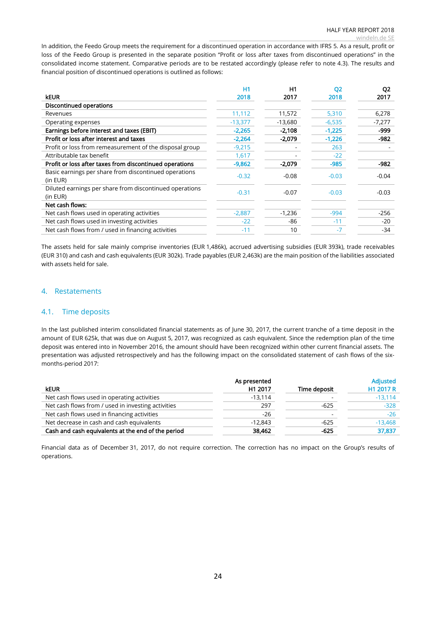In addition, the Feedo Group meets the requirement for a discontinued operation in accordance with IFRS 5. As a result, profit or loss of the Feedo Group is presented in the separate position "Profit or loss after taxes from discontinued operations" in the consolidated income statement. Comparative periods are to be restated accordingly (please refer to note [4.3\)](#page-24-1). The results and financial position of discontinued operations is outlined as follows:

|                                                                     | H1        | H1        | <b>Q2</b> | Q <sub>2</sub> |
|---------------------------------------------------------------------|-----------|-----------|-----------|----------------|
| <b>keur</b>                                                         | 2018      | 2017      | 2018      | 2017           |
| Discontinued operations                                             |           |           |           |                |
| Revenues                                                            | 11,112    | 11,572    | 5,310     | 6,278          |
| Operating expenses                                                  | $-13,377$ | $-13,680$ | $-6,535$  | $-7,277$       |
| Earnings before interest and taxes (EBIT)                           | $-2,265$  | $-2,108$  | $-1,225$  | -999           |
| Profit or loss after interest and taxes                             | $-2,264$  | -2,079    | $-1,226$  | -982           |
| Profit or loss from remeasurement of the disposal group             | $-9,215$  |           | 263       |                |
| Attributable tax benefit                                            | 1,617     |           | $-22$     |                |
| Profit or loss after taxes from discontinued operations             | $-9,862$  | $-2,079$  | $-985$    | -982           |
| Basic earnings per share from discontinued operations<br>(in EUR)   | $-0.32$   | $-0.08$   | $-0.03$   | $-0.04$        |
| Diluted earnings per share from discontinued operations<br>(in EUR) | $-0.31$   | $-0.07$   | $-0.03$   | $-0.03$        |
| Net cash flows:                                                     |           |           |           |                |
| Net cash flows used in operating activities                         | $-2,887$  | $-1,236$  | $-994$    | $-256$         |
| Net cash flows used in investing activities                         | $-22$     | -86       | $-11$     | $-20$          |
| Net cash flows from / used in financing activities                  | $-11$     | 10        | $-7$      | $-34$          |

The assets held for sale mainly comprise inventories (EUR 1,486k), accrued advertising subsidies (EUR 393k), trade receivables (EUR 310) and cash and cash equivalents (EUR 302k). Trade payables (EUR 2,463k) are the main position of the liabilities associated with assets held for sale.

## 4. Restatements

## 4.1. Time deposits

In the last published interim consolidated financial statements as of June 30, 2017, the current tranche of a time deposit in the amount of EUR 625k, that was due on August 5, 2017, was recognized as cash equivalent. Since the redemption plan of the time deposit was entered into in November 2016, the amount should have been recognized within other current financial assets. The presentation was adjusted retrospectively and has the following impact on the consolidated statement of cash flows of the sixmonths-period 2017:

|                                                    | As presented |              | <b>Adjusted</b> |
|----------------------------------------------------|--------------|--------------|-----------------|
| <b>kEUR</b>                                        | H1 2017      | Time deposit | H1 2017 R       |
| Net cash flows used in operating activities        | $-13,114$    |              | $-13.114$       |
| Net cash flows from / used in investing activities | 297          | $-625$       | $-328$          |
| Net cash flows used in financing activities        | $-26$        |              | $-26$           |
| Net decrease in cash and cash equivalents          | $-12,843$    | $-625$       | $-13,468$       |
| Cash and cash equivalents at the end of the period | 38,462       | $-625$       | 37,837          |

Financial data as of December 31, 2017, do not require correction. The correction has no impact on the Group's results of operations.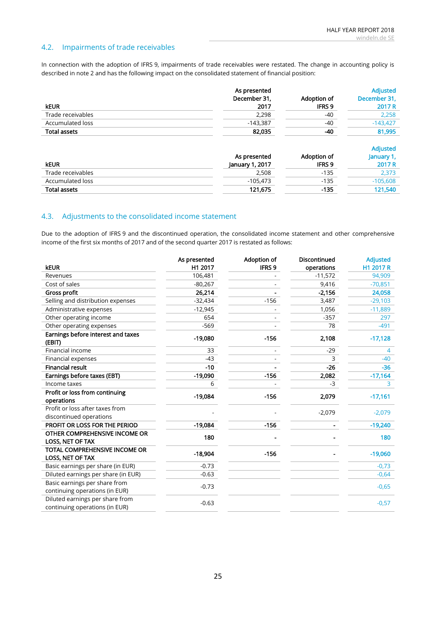## <span id="page-24-0"></span>4.2. Impairments of trade receivables

In connection with the adoption of IFRS 9, impairments of trade receivables were restated. The change in accounting policy is described in note [2](#page-21-0) and has the following impact on the consolidated statement of financial position:

|                         | As presented                    |                              | <b>Adjusted</b>                         |
|-------------------------|---------------------------------|------------------------------|-----------------------------------------|
|                         | December 31,                    | Adoption of                  | December 31,                            |
| <b>keur</b>             | 2017                            | <b>IFRS 9</b>                | 2017 R                                  |
| Trade receivables       | 2,298                           | $-40$                        | 2,258                                   |
| Accumulated loss        | $-143,387$                      | $-40$                        | $-143,427$                              |
| <b>Total assets</b>     | 82,035                          | -40                          | 81,995                                  |
| <b>kEUR</b>             | As presented<br>January 1, 2017 | Adoption of<br><b>IFRS 9</b> | <b>Adjusted</b><br>January 1,<br>2017 R |
| Trade receivables       | 2,508                           | $-135$                       | 2,373                                   |
| <b>Accumulated loss</b> | $-105,473$                      | $-135$                       | $-105,608$                              |
| <b>Total assets</b>     | 121,675                         | $-135$                       | 121,540                                 |

## <span id="page-24-1"></span>4.3. Adjustments to the consolidated income statement

Due to the adoption of IFRS 9 and the discontinued operation, the consolidated income statement and other comprehensive income of the first six months of 2017 and of the second quarter 2017 is restated as follows:

|                                                          | As presented | Adoption of       | <b>Discontinued</b> | <b>Adjusted</b> |
|----------------------------------------------------------|--------------|-------------------|---------------------|-----------------|
| <b>kEUR</b>                                              | H1 2017      | IFRS <sub>9</sub> | operations          | H1 2017 R       |
| Revenues                                                 | 106,481      |                   | $-11,572$           | 94,909          |
| Cost of sales                                            | $-80,267$    |                   | 9,416               | $-70,851$       |
| Gross profit                                             | 26,214       |                   | $-2,156$            | 24,058          |
| Selling and distribution expenses                        | $-32,434$    | $-156$            | 3,487               | $-29,103$       |
| Administrative expenses                                  | $-12,945$    |                   | 1,056               | $-11,889$       |
| Other operating income                                   | 654          |                   | $-357$              | 297             |
| Other operating expenses                                 | $-569$       |                   | 78                  | $-491$          |
| Earnings before interest and taxes<br>(EBIT)             | $-19,080$    | $-156$            | 2,108               | $-17,128$       |
| Financial income                                         | 33           |                   | $-29$               | 4               |
| Financial expenses                                       | $-43$        |                   | 3                   | $-40$           |
| <b>Financial result</b>                                  | $-10$        |                   | $-26$               | $-36$           |
| Earnings before taxes (EBT)                              | $-19,090$    | $-156$            | 2,082               | $-17,164$       |
| Income taxes                                             | 6            |                   | -3                  | 3               |
| Profit or loss from continuing                           | $-19,084$    | $-156$            | 2,079               | $-17,161$       |
| operations                                               |              |                   |                     |                 |
| Profit or loss after taxes from                          |              |                   | $-2,079$            | $-2,079$        |
| discontinued operations                                  |              |                   |                     |                 |
| PROFIT OR LOSS FOR THE PERIOD                            | $-19,084$    | $-156$            |                     | $-19,240$       |
| OTHER COMPREHENSIVE INCOME OR<br><b>LOSS, NET OF TAX</b> | 180          |                   |                     | 180             |
| TOTAL COMPREHENSIVE INCOME OR                            | $-18,904$    | $-156$            |                     | $-19,060$       |
| LOSS, NET OF TAX                                         |              |                   |                     |                 |
| Basic earnings per share (in EUR)                        | $-0.73$      |                   |                     | $-0,73$         |
| Diluted earnings per share (in EUR)                      | $-0.63$      |                   |                     | $-0,64$         |
| Basic earnings per share from                            | $-0.73$      |                   |                     | $-0,65$         |
| continuing operations (in EUR)                           |              |                   |                     |                 |
| Diluted earnings per share from                          | $-0.63$      |                   |                     | $-0,57$         |
| continuing operations (in EUR)                           |              |                   |                     |                 |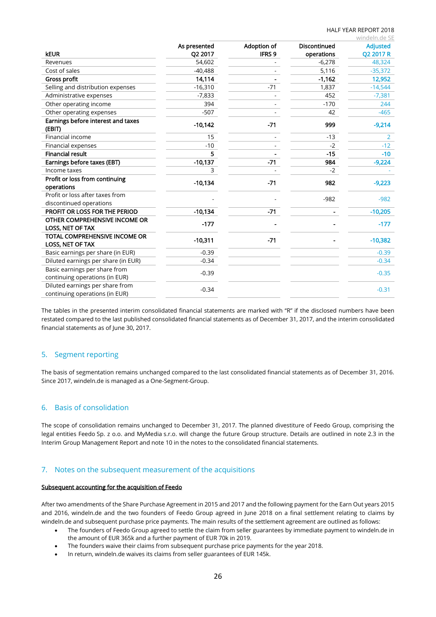### HALF YEAR REPORT 2018

|                                                                   |              |               |                     | windeln.de SE   |
|-------------------------------------------------------------------|--------------|---------------|---------------------|-----------------|
|                                                                   | As presented | Adoption of   | <b>Discontinued</b> | <b>Adjusted</b> |
| <b>kEUR</b>                                                       | Q2 2017      | <b>IFRS 9</b> | operations          | Q2 2017 R       |
| Revenues                                                          | 54,602       |               | $-6,278$            | 48,324          |
| Cost of sales                                                     | $-40,488$    |               | 5,116               | $-35,372$       |
| Gross profit                                                      | 14,114       |               | $-1,162$            | 12,952          |
| Selling and distribution expenses                                 | $-16,310$    | $-71$         | 1,837               | $-14,544$       |
| Administrative expenses                                           | $-7,833$     |               | 452                 | $-7,381$        |
| Other operating income                                            | 394          |               | $-170$              | 244             |
| Other operating expenses                                          | $-507$       |               | 42                  | $-465$          |
| Earnings before interest and taxes<br>(EBIT)                      | $-10,142$    | $-71$         | 999                 | $-9,214$        |
| Financial income                                                  | 15           |               | $-13$               | $\overline{2}$  |
| Financial expenses                                                | $-10$        |               | $-2$                | $-12$           |
| <b>Financial result</b>                                           | 5            |               | $-15$               | $-10$           |
| Earnings before taxes (EBT)                                       | $-10,137$    | $-71$         | 984                 | $-9,224$        |
| Income taxes                                                      | 3            |               | $-2$                |                 |
| Profit or loss from continuing<br>operations                      | $-10,134$    | $-71$         | 982                 | $-9,223$        |
| Profit or loss after taxes from<br>discontinued operations        |              |               | $-982$              | $-982$          |
| PROFIT OR LOSS FOR THE PERIOD                                     | $-10,134$    | $-71$         |                     | $-10,205$       |
| OTHER COMPREHENSIVE INCOME OR<br><b>LOSS, NET OF TAX</b>          | $-177$       |               |                     | $-177$          |
| TOTAL COMPREHENSIVE INCOME OR<br>LOSS, NET OF TAX                 | $-10,311$    | $-71$         |                     | $-10,382$       |
| Basic earnings per share (in EUR)                                 | $-0.39$      |               |                     | $-0.39$         |
| Diluted earnings per share (in EUR)                               | $-0.34$      |               |                     | $-0.34$         |
| Basic earnings per share from<br>continuing operations (in EUR)   | $-0.39$      |               |                     | $-0.35$         |
| Diluted earnings per share from<br>continuing operations (in EUR) | $-0.34$      |               |                     | $-0.31$         |

The tables in the presented interim consolidated financial statements are marked with "R" if the disclosed numbers have been restated compared to the last published consolidated financial statements as of December 31, 2017, and the interim consolidated financial statements as of June 30, 2017.

## 5. Segment reporting

The basis of segmentation remains unchanged compared to the last consolidated financial statements as of December 31, 2016. Since 2017, windeln.de is managed as a One-Segment-Group.

## 6. Basis of consolidation

The scope of consolidation remains unchanged to December 31, 2017. The planned divestiture of Feedo Group, comprising the legal entities Feedo Sp. z o.o. and MyMedia s.r.o. will change the future Group structure. Details are outlined in note [2.3](#page-5-0) in the Interim Group Management Report and note [10](#page-30-0) in the notes to the consolidated financial statements.

## <span id="page-25-0"></span>7. Notes on the subsequent measurement of the acquisitions

#### Subsequent accounting for the acquisition of Feedo

After two amendments of the Share Purchase Agreement in 2015 and 2017 and the following payment for the Earn Out years 2015 and 2016, windeln.de and the two founders of Feedo Group agreed in June 2018 on a final settlement relating to claims by windeln.de and subsequent purchase price payments. The main results of the settlement agreement are outlined as follows:

- The founders of Feedo Group agreed to settle the claim from seller guarantees by immediate payment to windeln.de in the amount of EUR 365k and a further payment of EUR 70k in 2019.
- The founders waive their claims from subsequent purchase price payments for the year 2018.
- In return, windeln.de waives its claims from seller guarantees of EUR 145k.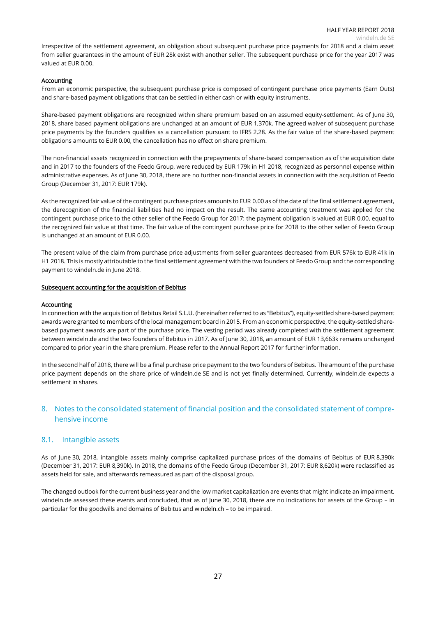Irrespective of the settlement agreement, an obligation about subsequent purchase price payments for 2018 and a claim asset from seller guarantees in the amount of EUR 28k exist with another seller. The subsequent purchase price for the year 2017 was valued at EUR 0.00.

#### Accounting

From an economic perspective, the subsequent purchase price is composed of contingent purchase price payments (Earn Outs) and share-based payment obligations that can be settled in either cash or with equity instruments.

Share-based payment obligations are recognized within share premium based on an assumed equity-settlement. As of June 30, 2018, share based payment obligations are unchanged at an amount of EUR 1,370k. The agreed waiver of subsequent purchase price payments by the founders qualifies as a cancellation pursuant to IFRS 2.28. As the fair value of the share-based payment obligations amounts to EUR 0.00, the cancellation has no effect on share premium.

The non-financial assets recognized in connection with the prepayments of share-based compensation as of the acquisition date and in 2017 to the founders of the Feedo Group, were reduced by EUR 179k in H1 2018, recognized as personnel expense within administrative expenses. As of June 30, 2018, there are no further non-financial assets in connection with the acquisition of Feedo Group (December 31, 2017: EUR 179k).

As the recognized fair value of the contingent purchase prices amounts to EUR 0.00 as of the date of the final settlement agreement, the derecognition of the financial liabilities had no impact on the result. The same accounting treatment was applied for the contingent purchase price to the other seller of the Feedo Group for 2017: the payment obligation is valued at EUR 0.00, equal to the recognized fair value at that time. The fair value of the contingent purchase price for 2018 to the other seller of Feedo Group is unchanged at an amount of EUR 0.00.

The present value of the claim from purchase price adjustments from seller guarantees decreased from EUR 576k to EUR 41k in H1 2018. This is mostly attributable to the final settlement agreement with the two founders of Feedo Group and the corresponding payment to windeln.de in June 2018.

#### Subsequent accounting for the acquisition of Bebitus

#### Accounting

In connection with the acquisition of Bebitus Retail S.L.U. (hereinafter referred to as "Bebitus"), equity-settled share-based payment awards were granted to members of the local management board in 2015. From an economic perspective, the equity-settled sharebased payment awards are part of the purchase price. The vesting period was already completed with the settlement agreement between windeln.de and the two founders of Bebitus in 2017. As of June 30, 2018, an amount of EUR 13,663k remains unchanged compared to prior year in the share premium. Please refer to the Annual Report 2017 for further information.

In the second half of 2018, there will be a final purchase price payment to the two founders of Bebitus. The amount of the purchase price payment depends on the share price of windeln.de SE and is not yet finally determined. Currently, windeln.de expects a settlement in shares.

## 8. Notes to the consolidated statement of financial position and the consolidated statement of comprehensive income

#### 8.1. Intangible assets

As of June 30, 2018, intangible assets mainly comprise capitalized purchase prices of the domains of Bebitus of EUR 8,390k (December 31, 2017: EUR 8,390k). In 2018, the domains of the Feedo Group (December 31, 2017: EUR 8,620k) were reclassified as assets held for sale, and afterwards remeasured as part of the disposal group.

The changed outlook for the current business year and the low market capitalization are events that might indicate an impairment. windeln.de assessed these events and concluded, that as of June 30, 2018, there are no indications for assets of the Group – in particular for the goodwills and domains of Bebitus and windeln.ch – to be impaired.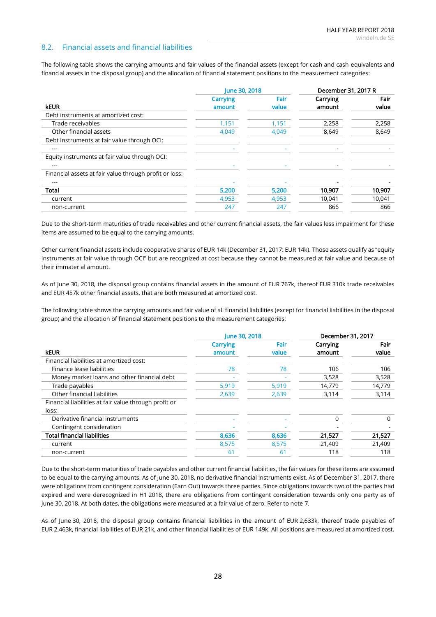## 8.2. Financial assets and financial liabilities

The following table shows the carrying amounts and fair values of the financial assets (except for cash and cash equivalents and financial assets in the disposal group) and the allocation of financial statement positions to the measurement categories:

|                                                        | June 30, 2018 |       | December 31, 2017 R |        |
|--------------------------------------------------------|---------------|-------|---------------------|--------|
|                                                        | Carrying      | Fair  | Carrying            | Fair   |
| <b>kEUR</b>                                            | amount        | value | amount              | value  |
| Debt instruments at amortized cost:                    |               |       |                     |        |
| Trade receivables                                      | 1,151         | 1,151 | 2,258               | 2,258  |
| Other financial assets                                 | 4,049         | 4,049 | 8,649               | 8,649  |
| Debt instruments at fair value through OCI:            |               |       |                     |        |
| ---                                                    |               |       |                     |        |
| Equity instruments at fair value through OCI:          |               |       |                     |        |
| ---                                                    |               |       |                     |        |
| Financial assets at fair value through profit or loss: |               |       |                     |        |
| ---                                                    |               |       |                     |        |
| Total                                                  | 5,200         | 5,200 | 10,907              | 10,907 |
| current                                                | 4,953         | 4,953 | 10,041              | 10,041 |
| non-current                                            | 247           | 247   | 866                 | 866    |

Due to the short-term maturities of trade receivables and other current financial assets, the fair values less impairment for these items are assumed to be equal to the carrying amounts.

Other current financial assets include cooperative shares of EUR 14k (December 31, 2017: EUR 14k). Those assets qualify as "equity instruments at fair value through OCI" but are recognized at cost because they cannot be measured at fair value and because of their immaterial amount.

As of June 30, 2018, the disposal group contains financial assets in the amount of EUR 767k, thereof EUR 310k trade receivables and EUR 457k other financial assets, that are both measured at amortized cost.

The following table shows the carrying amounts and fair value of all financial liabilities (except for financial liabilities in the disposal group) and the allocation of financial statement positions to the measurement categories:

|                                                       | June 30, 2018 |       | December 31, 2017 |        |
|-------------------------------------------------------|---------------|-------|-------------------|--------|
|                                                       | Carrying      | Fair  | Carrying          | Fair   |
| <b>kEUR</b>                                           | amount        | value | amount            | value  |
| Financial liabilities at amortized cost:              |               |       |                   |        |
| Finance lease liabilities                             | 78            | 78    | 106               | 106    |
| Money market loans and other financial debt           |               |       | 3,528             | 3,528  |
| Trade payables                                        | 5,919         | 5.919 | 14.779            | 14.779 |
| Other financial liabilities                           | 2,639         | 2,639 | 3,114             | 3,114  |
| Financial liabilities at fair value through profit or |               |       |                   |        |
| loss:                                                 |               |       |                   |        |
| Derivative financial instruments                      |               |       | 0                 | 0      |
| Contingent consideration                              |               |       |                   |        |
| <b>Total financial liabilities</b>                    | 8,636         | 8,636 | 21,527            | 21,527 |
| current                                               | 8,575         | 8,575 | 21,409            | 21,409 |
| non-current                                           | 61            | 61    | 118               | 118    |

Due to the short-term maturities of trade payables and other current financial liabilities, the fair values for these items are assumed to be equal to the carrying amounts. As of June 30, 2018, no derivative financial instruments exist. As of December 31, 2017, there were obligations from contingent consideration (Earn Out) towards three parties. Since obligations towards two of the parties had expired and were derecognized in H1 2018, there are obligations from contingent consideration towards only one party as of June 30, 2018. At both dates, the obligations were measured at a fair value of zero. Refer to note [7.](#page-25-0)

As of June 30, 2018, the disposal group contains financial liabilities in the amount of EUR 2,633k, thereof trade payables of EUR 2,463k, financial liabilities of EUR 21k, and other financial liabilities of EUR 149k. All positions are measured at amortized cost.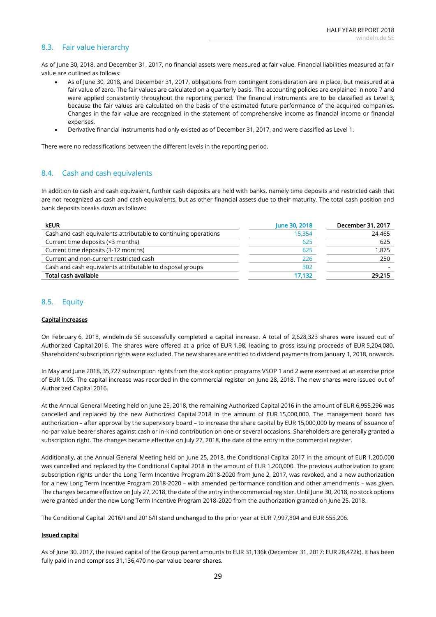## 8.3. Fair value hierarchy

As of June 30, 2018, and December 31, 2017, no financial assets were measured at fair value. Financial liabilities measured at fair value are outlined as follows:

- As of June 30, 2018, and December 31, 2017, obligations from contingent consideration are in place, but measured at a fair value of zero. The fair values are calculated on a quarterly basis. The accounting policies are explained in note [7](#page-25-0) and were applied consistently throughout the reporting period. The financial instruments are to be classified as Level 3, because the fair values are calculated on the basis of the estimated future performance of the acquired companies. Changes in the fair value are recognized in the statement of comprehensive income as financial income or financial expenses.
- Derivative financial instruments had only existed as of December 31, 2017, and were classified as Level 1.

There were no reclassifications between the different levels in the reporting period.

## 8.4. Cash and cash equivalents

In addition to cash and cash equivalent, further cash deposits are held with banks, namely time deposits and restricted cash that are not recognized as cash and cash equivalents, but as other financial assets due to their maturity. The total cash position and bank deposits breaks down as follows:

| <b>keur</b>                                                     | June 30, 2018 | December 31, 2017 |
|-----------------------------------------------------------------|---------------|-------------------|
| Cash and cash equivalents attributable to continuing operations | 15,354        | 24,465            |
| Current time deposits (<3 months)                               | 625           | 625               |
| Current time deposits (3-12 months)                             | 625           | 1,875             |
| Current and non-current restricted cash                         | 226           | 250               |
| Cash and cash equivalents attributable to disposal groups       | 302           |                   |
| Total cash available                                            | 17.132        | 29,215            |

### <span id="page-28-0"></span>8.5. Equity

#### Capital increases

On February 6, 2018, windeln.de SE successfully completed a capital increase. A total of 2,628,323 shares were issued out of Authorized Capital 2016. The shares were offered at a price of EUR 1.98, leading to gross issuing proceeds of EUR 5,204,080. Shareholders' subscription rights were excluded. The new shares are entitled to dividend payments from January 1, 2018, onwards.

In May and June 2018, 35,727 subscription rights from the stock option programs VSOP 1 and 2 were exercised at an exercise price of EUR 1.05. The capital increase was recorded in the commercial register on June 28, 2018. The new shares were issued out of Authorized Capital 2016.

At the Annual General Meeting held on June 25, 2018, the remaining Authorized Capital 2016 in the amount of EUR 6,955,296 was cancelled and replaced by the new Authorized Capital 2018 in the amount of EUR 15,000,000. The management board has authorization – after approval by the supervisory board – to increase the share capital by EUR 15,000,000 by means of issuance of no-par value bearer shares against cash or in-kind contribution on one or several occasions. Shareholders are generally granted a subscription right. The changes became effective on July 27, 2018, the date of the entry in the commercial register.

Additionally, at the Annual General Meeting held on June 25, 2018, the Conditional Capital 2017 in the amount of EUR 1,200,000 was cancelled and replaced by the Conditional Capital 2018 in the amount of EUR 1,200,000. The previous authorization to grant subscription rights under the Long Term Incentive Program 2018-2020 from June 2, 2017, was revoked, and a new authorization for a new Long Term Incentive Program 2018-2020 – with amended performance condition and other amendments – was given. The changes became effective on July 27, 2018, the date of the entry in the commercial register. Until June 30, 2018, no stock options were granted under the new Long Term Incentive Program 2018-2020 from the authorization granted on June 25, 2018.

The Conditional Capital 2016/I and 2016/II stand unchanged to the prior year at EUR 7,997,804 and EUR 555,206.

#### Issued capital

As of June 30, 2017, the issued capital of the Group parent amounts to EUR 31,136k (December 31, 2017: EUR 28,472k). It has been fully paid in and comprises 31,136,470 no-par value bearer shares.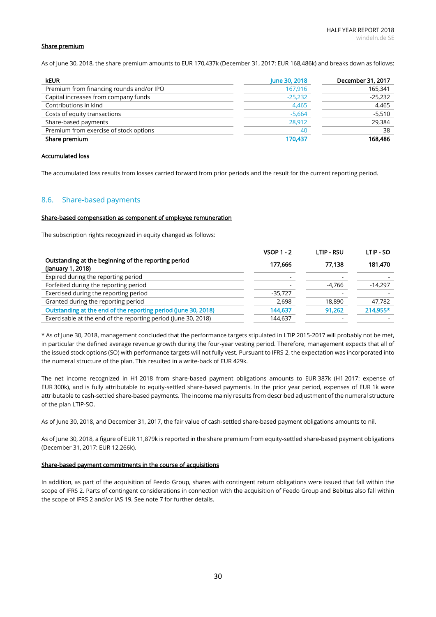#### Share premium

As of June 30, 2018, the share premium amounts to EUR 170,437k (December 31, 2017: EUR 168,486k) and breaks down as follows:

| <b>keur</b>                              | June 30, 2018 | December 31, 2017 |
|------------------------------------------|---------------|-------------------|
| Premium from financing rounds and/or IPO | 167,916       | 165,341           |
| Capital increases from company funds     | $-25,232$     | $-25,232$         |
| Contributions in kind                    | 4,465         | 4.465             |
| Costs of equity transactions             | $-5,664$      | $-5,510$          |
| Share-based payments                     | 28,912        | 29.384            |
| Premium from exercise of stock options   | 40            | 38                |
| Share premium                            | 170.437       | 168,486           |

#### Accumulated loss

The accumulated loss results from losses carried forward from prior periods and the result for the current reporting period.

## 8.6. Share-based payments

#### Share-based compensation as component of employee remuneration

The subscription rights recognized in equity changed as follows:

|                                                                           | $VSOP 1 - 2$ | <b>LTIP - RSU</b> | LTIP - SO |
|---------------------------------------------------------------------------|--------------|-------------------|-----------|
| Outstanding at the beginning of the reporting period<br>(January 1, 2018) | 177.666      | 77.138            | 181,470   |
| Expired during the reporting period                                       |              |                   |           |
| Forfeited during the reporting period                                     |              | -4,766            | $-14,297$ |
| Exercised during the reporting period                                     | $-35,727$    |                   |           |
| Granted during the reporting period                                       | 2,698        | 18,890            | 47,782    |
| Outstanding at the end of the reporting period (June 30, 2018)            | 144,637      | 91,262            | 214,955*  |
| Exercisable at the end of the reporting period (June 30, 2018)            | 144,637      |                   |           |

\* As of June 30, 2018, management concluded that the performance targets stipulated in LTIP 2015-2017 will probably not be met, in particular the defined average revenue growth during the four-year vesting period. Therefore, management expects that all of the issued stock options (SO) with performance targets will not fully vest. Pursuant to IFRS 2, the expectation was incorporated into the numeral structure of the plan. This resulted in a write-back of EUR 429k.

The net income recognized in H1 2018 from share-based payment obligations amounts to EUR 387k (H1 2017: expense of EUR 300k), and is fully attributable to equity-settled share-based payments. In the prior year period, expenses of EUR 1k were attributable to cash-settled share-based payments. The income mainly results from described adjustment of the numeral structure of the plan LTIP-SO.

As of June 30, 2018, and December 31, 2017, the fair value of cash-settled share-based payment obligations amounts to nil.

As of June 30, 2018, a figure of EUR 11,879k is reported in the share premium from equity-settled share-based payment obligations (December 31, 2017: EUR 12,266k).

#### Share-based payment commitments in the course of acquisitions

In addition, as part of the acquisition of Feedo Group, shares with contingent return obligations were issued that fall within the scope of IFRS 2. Parts of contingent considerations in connection with the acquisition of Feedo Group and Bebitus also fall within the scope of IFRS 2 and/or IAS 19. See note [7](#page-25-0) for further details.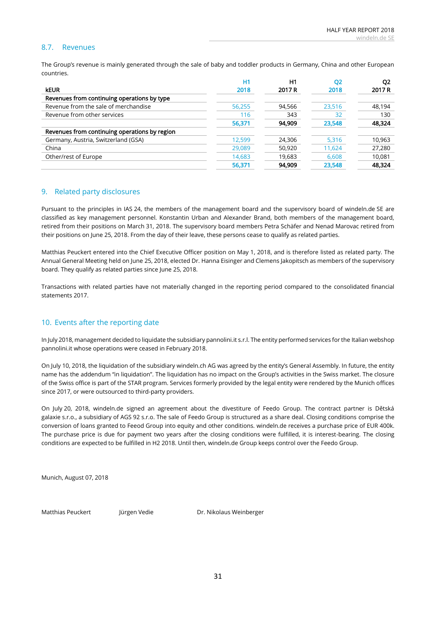## 8.7. Revenues

The Group's revenue is mainly generated through the sale of baby and toddler products in Germany, China and other European countries.

|                                               | H1     | H1     | <b>O2</b> | Q <sub>2</sub> |
|-----------------------------------------------|--------|--------|-----------|----------------|
| <b>kEUR</b>                                   | 2018   | 2017 R | 2018      | 2017 R         |
| Revenues from continuing operations by type   |        |        |           |                |
| Revenue from the sale of merchandise          | 56,255 | 94,566 | 23,516    | 48,194         |
| Revenue from other services                   | 116    | 343    | 32        | 130            |
|                                               | 56,371 | 94,909 | 23,548    | 48,324         |
| Revenues from continuing operations by region |        |        |           |                |
| Germany, Austria, Switzerland (GSA)           | 12,599 | 24,306 | 5,316     | 10,963         |
| China                                         | 29,089 | 50,920 | 11,624    | 27,280         |
| Other/rest of Europe                          | 14,683 | 19.683 | 6,608     | 10,081         |
|                                               | 56,371 | 94.909 | 23,548    | 48.324         |

### 9. Related party disclosures

Pursuant to the principles in IAS 24, the members of the management board and the supervisory board of windeln.de SE are classified as key management personnel. Konstantin Urban and Alexander Brand, both members of the management board, retired from their positions on March 31, 2018. The supervisory board members Petra Schäfer and Nenad Marovac retired from their positions on June 25, 2018. From the day of their leave, these persons cease to qualify as related parties.

Matthias Peuckert entered into the Chief Executive Officer position on May 1, 2018, and is therefore listed as related party. The Annual General Meeting held on June 25, 2018, elected Dr. Hanna Eisinger and Clemens Jakopitsch as members of the supervisory board. They qualify as related parties since June 25, 2018.

Transactions with related parties have not materially changed in the reporting period compared to the consolidated financial statements 2017.

## <span id="page-30-0"></span>10. Events after the reporting date

In July 2018, management decided to liquidate the subsidiary pannolini.it s.r.l. The entity performed services for the Italian webshop pannolini.it whose operations were ceased in February 2018.

On July 10, 2018, the liquidation of the subsidiary windeln.ch AG was agreed by the entity's General Assembly. In future, the entity name has the addendum "in liquidation". The liquidation has no impact on the Group's activities in the Swiss market. The closure of the Swiss office is part of the STAR program. Services formerly provided by the legal entity were rendered by the Munich offices since 2017, or were outsourced to third-party providers.

On July 20, 2018, windeln.de signed an agreement about the divestiture of Feedo Group. The contract partner is Dětská galaxie s.r.o., a subsidiary of AGS 92 s.r.o. The sale of Feedo Group is structured as a share deal. Closing conditions comprise the conversion of loans granted to Feeod Group into equity and other conditions. windeln.de receives a purchase price of EUR 400k. The purchase price is due for payment two years after the closing conditions were fulfilled, it is interest-bearing. The closing conditions are expected to be fulfilled in H2 2018. Until then, windeln.de Group keeps control over the Feedo Group.

Munich, August 07, 2018

Matthias Peuckert Jürgen Vedie Dr. Nikolaus Weinberger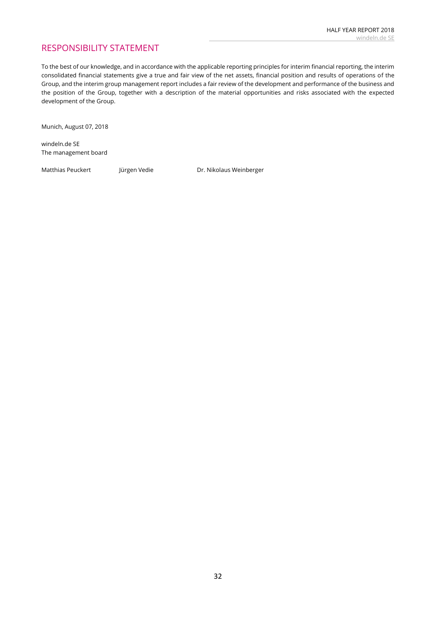## RESPONSIBILITY STATEMENT

To the best of our knowledge, and in accordance with the applicable reporting principles for interim financial reporting, the interim consolidated financial statements give a true and fair view of the net assets, financial position and results of operations of the Group, and the interim group management report includes a fair review of the development and performance of the business and the position of the Group, together with a description of the material opportunities and risks associated with the expected development of the Group.

Munich, August 07, 2018

windeln.de SE The management board

Matthias Peuckert Jürgen Vedie **Dr. Nikolaus Weinberger**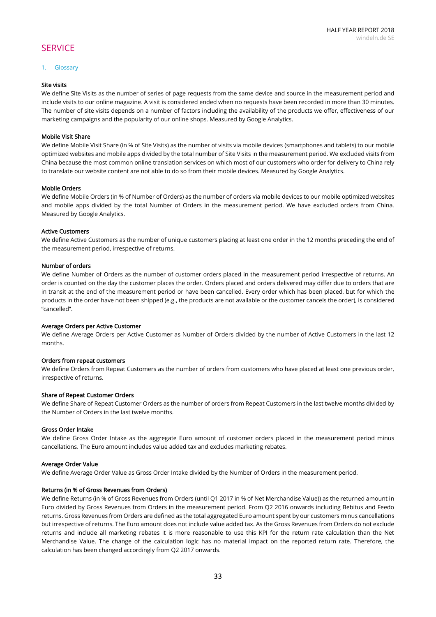## **SERVICE**

#### 1. Glossary

### Site visits

We define Site Visits as the number of series of page requests from the same device and source in the measurement period and include visits to our online magazine. A visit is considered ended when no requests have been recorded in more than 30 minutes. The number of site visits depends on a number of factors including the availability of the products we offer, effectiveness of our marketing campaigns and the popularity of our online shops. Measured by Google Analytics.

#### Mobile Visit Share

We define Mobile Visit Share (in % of Site Visits) as the number of visits via mobile devices (smartphones and tablets) to our mobile optimized websites and mobile apps divided by the total number of Site Visits in the measurement period. We excluded visits from China because the most common online translation services on which most of our customers who order for delivery to China rely to translate our website content are not able to do so from their mobile devices. Measured by Google Analytics.

### Mobile Orders

We define Mobile Orders (in % of Number of Orders) as the number of orders via mobile devices to our mobile optimized websites and mobile apps divided by the total Number of Orders in the measurement period. We have excluded orders from China. Measured by Google Analytics.

#### Active Customers

We define Active Customers as the number of unique customers placing at least one order in the 12 months preceding the end of the measurement period, irrespective of returns.

#### Number of orders

We define Number of Orders as the number of customer orders placed in the measurement period irrespective of returns. An order is counted on the day the customer places the order. Orders placed and orders delivered may differ due to orders that are in transit at the end of the measurement period or have been cancelled. Every order which has been placed, but for which the products in the order have not been shipped (e.g., the products are not available or the customer cancels the order), is considered ''cancelled''.

#### Average Orders per Active Customer

We define Average Orders per Active Customer as Number of Orders divided by the number of Active Customers in the last 12 months.

#### Orders from repeat customers

We define Orders from Repeat Customers as the number of orders from customers who have placed at least one previous order, irrespective of returns.

#### Share of Repeat Customer Orders

We define Share of Repeat Customer Orders as the number of orders from Repeat Customers in the last twelve months divided by the Number of Orders in the last twelve months.

#### Gross Order Intake

We define Gross Order Intake as the aggregate Euro amount of customer orders placed in the measurement period minus cancellations. The Euro amount includes value added tax and excludes marketing rebates.

#### Average Order Value

We define Average Order Value as Gross Order Intake divided by the Number of Orders in the measurement period.

#### Returns (in % of Gross Revenues from Orders)

We define Returns (in % of Gross Revenues from Orders (until Q1 2017 in % of Net Merchandise Value)) as the returned amount in Euro divided by Gross Revenues from Orders in the measurement period. From Q2 2016 onwards including Bebitus and Feedo returns. Gross Revenues from Orders are defined as the total aggregated Euro amount spent by our customers minus cancellations but irrespective of returns. The Euro amount does not include value added tax. As the Gross Revenues from Orders do not exclude returns and include all marketing rebates it is more reasonable to use this KPI for the return rate calculation than the Net Merchandise Value. The change of the calculation logic has no material impact on the reported return rate. Therefore, the calculation has been changed accordingly from Q2 2017 onwards.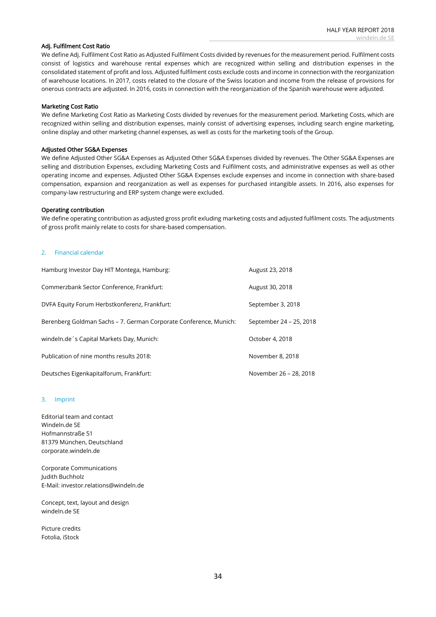#### Adj. Fulfilment Cost Ratio

We define Adj. Fulfilment Cost Ratio as Adjusted Fulfilment Costs divided by revenues for the measurement period. Fulfilment costs consist of logistics and warehouse rental expenses which are recognized within selling and distribution expenses in the consolidated statement of profit and loss. Adjusted fulfilment costs exclude costs and income in connection with the reorganization of warehouse locations. In 2017, costs related to the closure of the Swiss location and income from the release of provisions for onerous contracts are adjusted. In 2016, costs in connection with the reorganization of the Spanish warehouse were adjusted.

#### Marketing Cost Ratio

We define Marketing Cost Ratio as Marketing Costs divided by revenues for the measurement period. Marketing Costs, which are recognized within selling and distribution expenses, mainly consist of advertising expenses, including search engine marketing, online display and other marketing channel expenses, as well as costs for the marketing tools of the Group.

#### Adjusted Other SG&A Expenses

We define Adjusted Other SG&A Expenses as Adjusted Other SG&A Expenses divided by revenues. The Other SG&A Expenses are selling and distribution Expenses, excluding Marketing Costs and Fulfilment costs, and administrative expenses as well as other operating income and expenses. Adjusted Other SG&A Expenses exclude expenses and income in connection with share-based compensation, expansion and reorganization as well as expenses for purchased intangible assets. In 2016, also expenses for company-law restructuring and ERP system change were excluded.

#### Operating contribution

We define operating contribution as adjusted gross profit exluding marketing costs and adjusted fulfilment costs. The adjustments of gross profit mainly relate to costs for share-based compensation.

#### 2. Financial calendar

| Hamburg Investor Day HIT Montega, Hamburg:                        | August 23, 2018         |
|-------------------------------------------------------------------|-------------------------|
| Commerzbank Sector Conference, Frankfurt:                         | August 30, 2018         |
| DVFA Equity Forum Herbstkonferenz, Frankfurt:                     | September 3, 2018       |
| Berenberg Goldman Sachs – 7. German Corporate Conference, Munich: | September 24 - 25, 2018 |
| windeln.de's Capital Markets Day, Munich:                         | October 4, 2018         |
| Publication of nine months results 2018:                          | November 8, 2018        |
| Deutsches Eigenkapitalforum, Frankfurt:                           | November 26 - 28, 2018  |

#### 3. Imprint

Editorial team and contact Windeln.de SE Hofmannstraße 51 81379 München, Deutschland corporate.windeln.de

Corporate Communications Judith Buchholz E-Mail: investor.relations@windeln.de

Concept, text, layout and design windeln.de SE

Picture credits Fotolia, iStock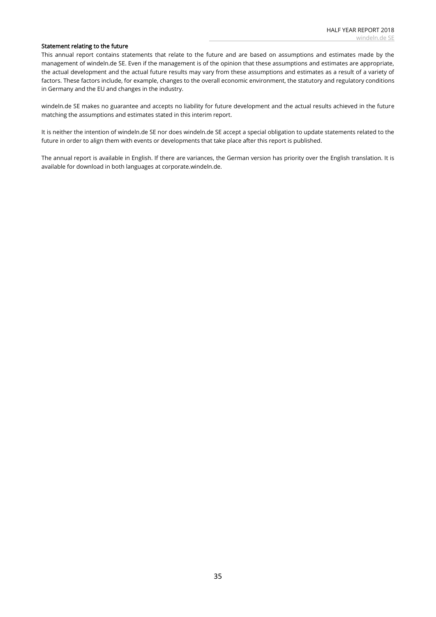#### Statement relating to the future

This annual report contains statements that relate to the future and are based on assumptions and estimates made by the management of windeln.de SE. Even if the management is of the opinion that these assumptions and estimates are appropriate, the actual development and the actual future results may vary from these assumptions and estimates as a result of a variety of factors. These factors include, for example, changes to the overall economic environment, the statutory and regulatory conditions in Germany and the EU and changes in the industry.

windeln.de SE makes no guarantee and accepts no liability for future development and the actual results achieved in the future matching the assumptions and estimates stated in this interim report.

It is neither the intention of windeln.de SE nor does windeln.de SE accept a special obligation to update statements related to the future in order to align them with events or developments that take place after this report is published.

The annual report is available in English. If there are variances, the German version has priority over the English translation. It is available for download in both languages at corporate.windeln.de.